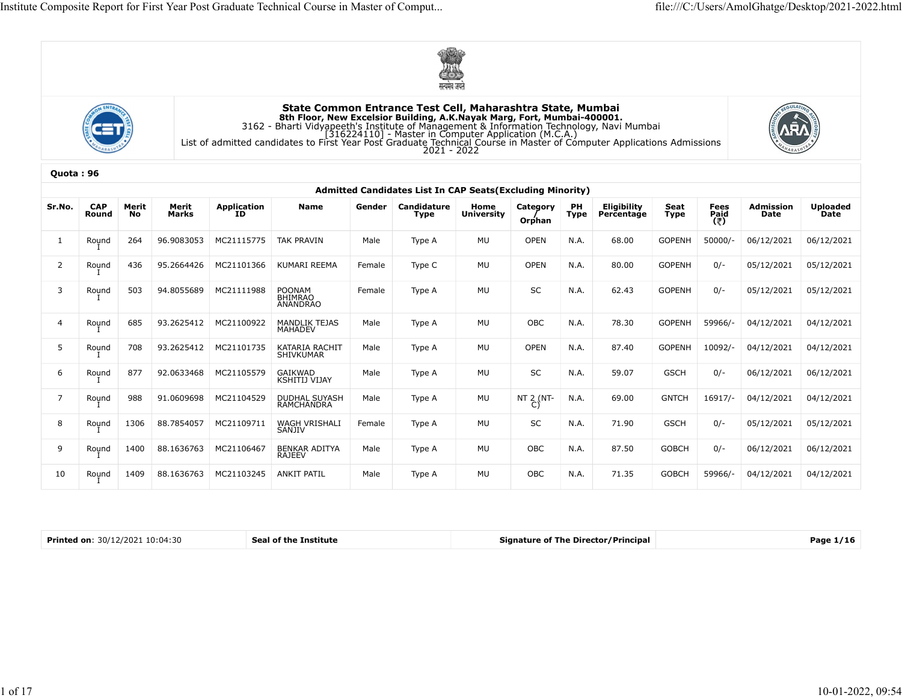





|                         |            |       |                       |                       |                                                                                                                                                                                                                                                                                                            |        | $\circ$<br>सत्यमेव जयते                                                  |                   |                    |      |              |               |                     |            |                 |
|-------------------------|------------|-------|-----------------------|-----------------------|------------------------------------------------------------------------------------------------------------------------------------------------------------------------------------------------------------------------------------------------------------------------------------------------------------|--------|--------------------------------------------------------------------------|-------------------|--------------------|------|--------------|---------------|---------------------|------------|-----------------|
|                         |            |       |                       |                       | State Common Entrance Test Cell, Maharashtra State, Mumbai<br><b>EXECTED BUILDING A.K.Nayak Marg, Fort, Mumbai-400001.</b><br>3162 - Bharti Vidyapeeth's Institute of Management & Information Technology, Navi Mumbai<br>[316224110] - Master in Computer Application (M.C.A.)<br>List of admitted candid |        |                                                                          |                   |                    |      |              |               |                     |            |                 |
| Quota: 96               |            |       |                       |                       |                                                                                                                                                                                                                                                                                                            |        |                                                                          |                   |                    |      |              |               |                     |            |                 |
| Sr.No.                  | <b>CAP</b> | Merit | Merit                 |                       | Name                                                                                                                                                                                                                                                                                                       | Gender | Admitted Candidates List In CAP Seats(Excluding Minority)<br>Candidature | Home              |                    | PН   | _Eligibility |               |                     | Admission  | <b>Uploaded</b> |
|                         | Round      | No    | Marks                 | Application<br>ID     |                                                                                                                                                                                                                                                                                                            |        | Type                                                                     | <b>University</b> | Category<br>Orphan | Type | Percentage   | Seat<br>Type  | Fees<br>Paid<br>(₹) | Date       | Date            |
|                         | Round      | 264   | 96.9083053            | MC21115775            | TAK PRAVIN                                                                                                                                                                                                                                                                                                 | Male   | Type A                                                                   | MU                | <b>OPEN</b>        | N.A. | 68.00        | <b>GOPENH</b> | 50000/              | 06/12/2021 | 06/12/2021      |
|                         | Round      | 436   | 95.2664426            | MC21101366            | KUMARI REEMA                                                                                                                                                                                                                                                                                               | Female | Type C                                                                   | MU                | <b>OPEN</b>        | N.A. | 80.00        | <b>GOPENH</b> | $0/-$               | 05/12/2021 | 05/12/2021      |
| $\overline{\mathbf{3}}$ | Round      | 503   | 94.8055689            | MC21111988            | POONAM<br>BHIMRAO<br>ANANDRAO                                                                                                                                                                                                                                                                              | Female | Type A                                                                   | MU                | SC                 | N.A. | 62.43        | <b>GOPENH</b> | $0/-$               | 05/12/2021 | 05/12/2021      |
|                         | Round      | 685   | 93.2625412            | MC21100922            | <b>MANDLIK TEJAS</b><br><b>MAHADEV</b>                                                                                                                                                                                                                                                                     | Male   | Type A                                                                   | MU                | OBC                | N.A. | 78.30        | <b>GOPENH</b> | 59966/-             | 04/12/2021 | 04/12/2021      |
| 5                       | Round      | 708   | 93.2625412            | MC21101735            | KATARIA RACHIT<br>SHIVKUMAR                                                                                                                                                                                                                                                                                | Male   | Type A                                                                   | MU                | <b>OPEN</b>        | N.A. | 87.40        | <b>GOPENH</b> | 10092/-             | 04/12/2021 | 04/12/2021      |
|                         | Round      | 877   | 92.0633468            | MC21105579            | GAIKWAD<br>KSHITIJ VIJAY                                                                                                                                                                                                                                                                                   | Male   | Type A                                                                   | MU                | SC                 | N.A. | 59.07        | <b>GSCH</b>   | $0/-$               | 06/12/2021 | 06/12/2021      |
|                         | Round      | 988   | 91.0609698            | MC21104529            | DUDHAL SUYASH<br>RAMCHANDRA                                                                                                                                                                                                                                                                                | Male   | Type A                                                                   | MU                | NT 2 (NT-          | N.A. | 69.00        | <b>GNTCH</b>  | 16917/-             | 04/12/2021 | 04/12/2021      |
| 8                       | Round      | 1306  | 88.7854057 MC21109711 |                       | WAGH VRISHALI<br>SANJIV                                                                                                                                                                                                                                                                                    | Female | Type A                                                                   | MU                | SC                 | N.A. | 71.90        | <b>GSCH</b>   | $0/-$               | 05/12/2021 | 05/12/2021      |
| 9                       | Round      | 1400  |                       | 88.1636763 MC21106467 | BENKAR ADITYA<br>RAJEEV                                                                                                                                                                                                                                                                                    | Male   | Type A                                                                   | MU                | ${\sf OBC}$        | N.A. | 87.50        | GOBCH         | $0/-$               | 06/12/2021 | 06/12/2021      |
| 10                      | Round      | 1409  |                       | 88.1636763 MC21103245 | ANKIT PATIL                                                                                                                                                                                                                                                                                                | Male   | Type A                                                                   | MU                | OBC                | N.A. | 71.35        | <b>GOBCH</b>  | 59966/-             | 04/12/2021 | 04/12/2021      |

| 30/12/2021 10:04:30<br><b>Printed on:</b><br>Institute<br>l of the | Signature of The Director/Principal | Рапе |
|--------------------------------------------------------------------|-------------------------------------|------|
|--------------------------------------------------------------------|-------------------------------------|------|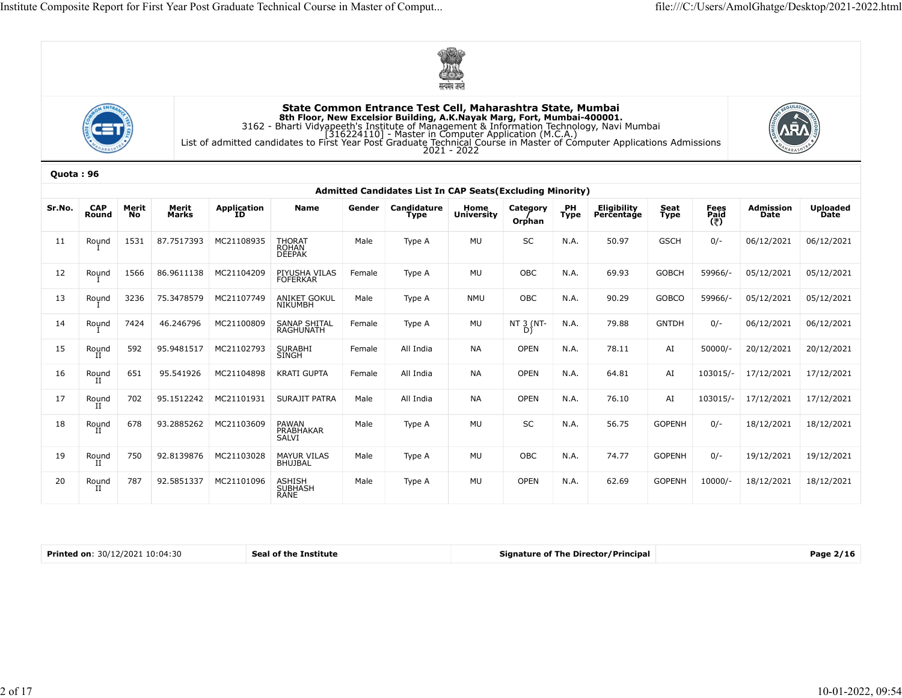





|           |                                 |             |                |                       |                                                                                                                                                                                                                                         |        |                                                            | सत्यमेव जयते              |                       |            |                                            |              |                     |                   |                         |
|-----------|---------------------------------|-------------|----------------|-----------------------|-----------------------------------------------------------------------------------------------------------------------------------------------------------------------------------------------------------------------------------------|--------|------------------------------------------------------------|---------------------------|-----------------------|------------|--------------------------------------------|--------------|---------------------|-------------------|-------------------------|
|           |                                 |             |                |                       | 8th Floor, New Excelsior Building, A.K.Nayak Marg, Fort, Mumbai-400001.<br>3162 - Bharti Vidyapeeth's Institute of Management & Information Technology, Navi Mumbai<br>[316224110] - Master in Computer Application (M.C.A.)<br>List of |        | State Common Entrance Test Cell, Maharashtra State, Mumbai | $2021 - 2022$             |                       |            |                                            |              |                     |                   |                         |
| Quota: 96 |                                 |             |                |                       |                                                                                                                                                                                                                                         |        | Admitted Candidates List In CAP Seats (Excluding Minority) |                           |                       |            |                                            |              |                     |                   |                         |
| Sr.No.    | <b>CAP</b><br>Round             | Merit<br>No | Merit<br>Marks | Application<br>ID     | Name                                                                                                                                                                                                                                    | Gender | Candidature<br>Type                                        | Home<br><b>University</b> | Category<br>Orphan    | PH<br>Type | Eligibility<br>Percentage                  | Seat<br>Type | Fees<br>Paid<br>(そ) | Admission<br>Date | <b>Uploaded</b><br>Date |
| 11        | Round                           | 1531        | 87.7517393     | MC21108935            | THORAT<br>ROHAN<br><b>DEEPAK</b>                                                                                                                                                                                                        | Male   | Type A                                                     | MU                        | SC                    | N.A.       | 50.97                                      | <b>GSCH</b>  | $0/-$               | 06/12/2021        | 06/12/2021              |
| 12        | Round                           | 1566        | 86.9611138     | MC21104209            | PIYUSHA VILAS<br><b>FOFERKAR</b>                                                                                                                                                                                                        | Female | Type A                                                     | MU                        | OBC                   | N.A.       | 69.93                                      | <b>GOBCH</b> | 59966/-             | 05/12/2021        | 05/12/2021              |
| 13        | Round                           | 3236        | 75.3478579     | MC21107749            | ANIKET GOKUL<br>NIKUMBH                                                                                                                                                                                                                 | Male   | Type A                                                     | NMU                       | OBC                   | N.A.       | 90.29                                      | GOBCO        | 59966/-             | 05/12/2021        | 05/12/2021              |
| 14        | Round                           | 7424        | 46.246796      | MC21100809            | SANAP SHITAL<br>RAGHUNATH                                                                                                                                                                                                               | Female | Type A                                                     | MU                        | NT $\frac{3}{D}$ (NT- | N.A.       | 79.88                                      | <b>GNTDH</b> | $0/-$               | 06/12/2021        | 06/12/2021              |
| 15        | Round                           | 592         | 95.9481517     | MC21102793            | SURABHI<br>SINGH                                                                                                                                                                                                                        | Female | All India                                                  | <b>NA</b>                 | <b>OPEN</b>           | N.A.       | 78.11                                      | AI           | $50000/-$           | 20/12/2021        | 20/12/2021              |
| 16        | Round                           | 651         | 95.541926      | MC21104898            | <b>KRATI GUPTA</b>                                                                                                                                                                                                                      | Female | All India                                                  | NA                        | <b>OPEN</b>           | N.A.       | 64.81                                      | AI           | 103015/-            | 17/12/2021        | 17/12/2021              |
| 17        | Round                           | 702         | 95.1512242     | MC21101931            | SURAJIT PATRA                                                                                                                                                                                                                           | Male   | All India                                                  | NA                        | <b>OPEN</b>           | N.A.       | 76.10                                      | AI           | 103015/-            | 17/12/2021        | 17/12/2021              |
| 18        | Round<br>II                     | 678         |                | 93.2885262 MC21103609 | PAWAN<br>PRABHAKAR<br>SALVI                                                                                                                                                                                                             | Male   | Type A                                                     | MU                        | SC                    | N.A.       | 56.75                                      | GOPENH       | $0/-$               | 18/12/2021        | 18/12/2021              |
| 19        | Round                           | 750         | 92.8139876     | MC21103028            | MAYUR VILAS<br>BHUJBAL                                                                                                                                                                                                                  | Male   | Type A                                                     | MU                        | OBC                   | N.A.       | 74.77                                      | GOPENH       | $0/-$               | 19/12/2021        | 19/12/2021              |
| 20        | Round                           | 787         | 92.5851337     | MC21101096            | ASHISH<br>SUBHASH<br>RANE                                                                                                                                                                                                               | Male   | Type A                                                     | MU                        | OPEN                  | N.A.       | 62.69                                      | GOPENH       | 10000/-             | 18/12/2021        | 18/12/2021              |
|           |                                 |             |                |                       |                                                                                                                                                                                                                                         |        |                                                            |                           |                       |            |                                            |              |                     |                   |                         |
|           | Printed on: 30/12/2021 10:04:30 |             |                |                       | Seal of the Institute                                                                                                                                                                                                                   |        |                                                            |                           |                       |            | <b>Signature of The Director/Principal</b> |              |                     |                   | Page 2/16               |

| .12/2021<br>10:04:30<br>Printed on. | .<br>stitute<br>509 | <b>Signature of The Director/Principal</b> | Рапе |
|-------------------------------------|---------------------|--------------------------------------------|------|
|                                     |                     |                                            |      |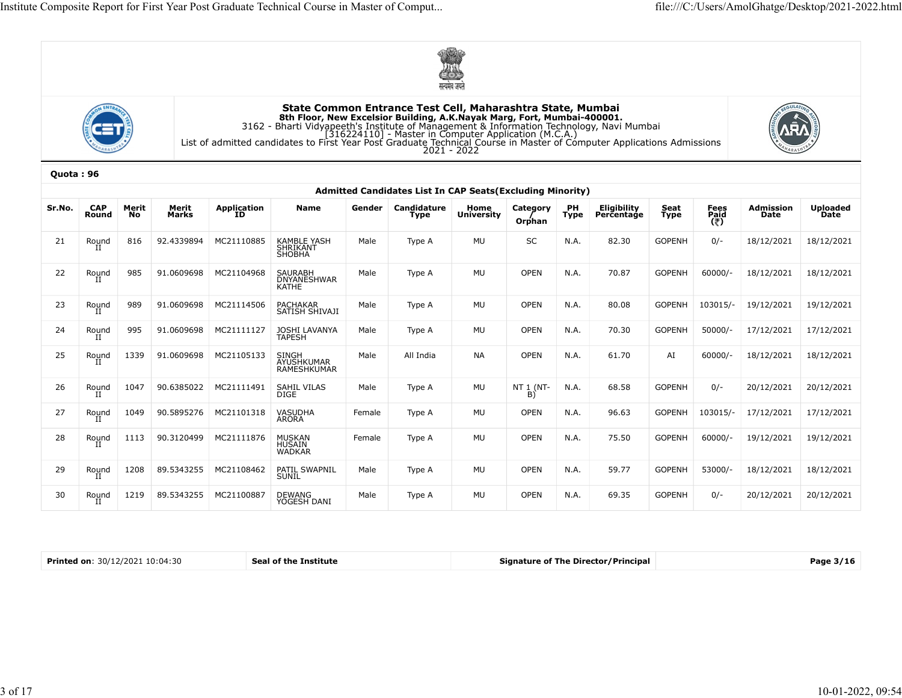





| State Common Entrance Test Cell, Maharashtra State, Mumbai<br>8th Floor, New Excelsior Building, A.K.Nayak Marg, Fort, Mumbai-400001.<br>3162 - Bharti Vidyapeeth's Institute of Management & Information Technology, Navi Mumbai<br>[316224110] - Master in Computer Application (M.C.A.)<br>List of<br>Quota: 96<br>Admitted Candidates List In CAP Seats(Excluding Minority)<br>Sr.No.<br><b>CAP</b><br>Merit<br>Merit<br>Application<br>ID<br><b>Name</b><br>Category<br>PH<br>Eligibility<br>Seat<br>Type<br>Fees<br>Paid<br>(そ)<br>Admission<br>Gender<br>Candidature<br>Home<br>Marks<br><b>University</b><br>Percentage<br>Date<br>Date<br>Round<br>No<br>Type<br>Type<br>Orphan<br>92.4339894<br>MC21110885<br><b>KAMBLE YASH</b><br>MU<br>SC<br>N.A.<br>82.30<br><b>GOPENH</b><br>$0/-$<br>18/12/2021<br>816<br>Male<br>21<br>Round<br>Type A<br>SHRIKANT<br>SHOBHA<br>MU<br>OPEN<br>N.A.<br>70.87<br><b>GOPENH</b><br>$60000/-$<br>18/12/2021<br>22<br>985<br>91.0609698<br>MC21104968<br>SAURABH<br>Male<br>Round<br>Type A<br>DNYANESHWAR<br>KATHE<br><b>MU</b><br>OPEN<br>N.A.<br>80.08<br><b>GOPENH</b><br>23<br>989<br>91.0609698<br>MC21114506<br>PACHAKAR<br>SATISH SHIVAJI<br>Male<br>103015/-<br>19/12/2021<br>Round<br>Type A<br><b>MU</b><br>OPEN<br>N.A.<br>70.30<br><b>GOPENH</b><br>$50000/-$<br>995<br>91.0609698<br>MC21111127<br>Male<br>17/12/2021<br>24<br>Round<br>JOSHI LAVANYA<br>TAPESH<br>Type A<br>MC21105133<br><b>NA</b><br>OPEN<br>N.A.<br>61.70<br>$60000/-$<br>25<br>Round<br>1339<br>91.0609698<br>SINGH<br>AYUSHKUMAR<br>Male<br>All India<br>AI<br>18/12/2021<br>RAMESHKUMAR<br>MU<br>68.58<br><b>GOPENH</b><br>26<br>90.6385022<br>MC21111491<br>SAHIL VILAS<br>DIGE<br>Male<br>NT $1_{B)}^{1(NT-1)}$<br>N.A.<br>$0/-$<br>Round<br>1047<br>Type A<br>90.5895276 MC21101318 VASUDHA<br>MU<br>OPEN<br>96.63<br><b>GOPENH</b><br>27<br>1049<br>Type A<br>103015/-<br>17/12/2021<br>Round<br>II<br>Female<br>N.A.<br><b>MU</b><br>OPEN<br>N.A.<br>75.50<br>60000/-<br>28<br>1113 90.3120499 MC21111876<br>Type A<br>GOPENH<br>Round<br>II<br>MUSKAN<br>HUSAIN<br>WADKAR<br>Female<br>N.A.<br>59.77<br>1208<br>89.5343255<br>MC21108462<br>PATIL SWAPNIL<br>SUNIL<br>MU<br>OPEN<br>GOPENH<br>53000/-<br>18/12/2021<br>29<br>Male<br>Type A<br>Round<br>II | <b>Uploaded</b><br>18/12/2021<br>18/12/2021<br>19/12/2021<br>17/12/2021<br>18/12/2021<br>20/12/2021 20/12/2021<br>17/12/2021<br>19/12/2021 19/12/2021<br>18/12/2021<br>MC21100887<br>MU<br>OPEN<br>N.A.<br>69.35<br>GOPENH<br>$0/-$<br>20/12/2021 20/12/2021<br>30<br>1219<br>89.5343255<br>DEWANG<br>YOGESH DANI<br>Male<br>Round<br>II<br>Type A |  |  |  |  | $\circ$<br>सत्यमेव जयते |  |  |  |  |
|---------------------------------------------------------------------------------------------------------------------------------------------------------------------------------------------------------------------------------------------------------------------------------------------------------------------------------------------------------------------------------------------------------------------------------------------------------------------------------------------------------------------------------------------------------------------------------------------------------------------------------------------------------------------------------------------------------------------------------------------------------------------------------------------------------------------------------------------------------------------------------------------------------------------------------------------------------------------------------------------------------------------------------------------------------------------------------------------------------------------------------------------------------------------------------------------------------------------------------------------------------------------------------------------------------------------------------------------------------------------------------------------------------------------------------------------------------------------------------------------------------------------------------------------------------------------------------------------------------------------------------------------------------------------------------------------------------------------------------------------------------------------------------------------------------------------------------------------------------------------------------------------------------------------------------------------------------------------------------------------------------------------------------------------------------------------------------------------------------------------------------------------------------------------------------------------------------------------------------------------------------------------------------------------------|----------------------------------------------------------------------------------------------------------------------------------------------------------------------------------------------------------------------------------------------------------------------------------------------------------------------------------------------------|--|--|--|--|-------------------------|--|--|--|--|
|                                                                                                                                                                                                                                                                                                                                                                                                                                                                                                                                                                                                                                                                                                                                                                                                                                                                                                                                                                                                                                                                                                                                                                                                                                                                                                                                                                                                                                                                                                                                                                                                                                                                                                                                                                                                                                                                                                                                                                                                                                                                                                                                                                                                                                                                                                   |                                                                                                                                                                                                                                                                                                                                                    |  |  |  |  |                         |  |  |  |  |
|                                                                                                                                                                                                                                                                                                                                                                                                                                                                                                                                                                                                                                                                                                                                                                                                                                                                                                                                                                                                                                                                                                                                                                                                                                                                                                                                                                                                                                                                                                                                                                                                                                                                                                                                                                                                                                                                                                                                                                                                                                                                                                                                                                                                                                                                                                   |                                                                                                                                                                                                                                                                                                                                                    |  |  |  |  |                         |  |  |  |  |
|                                                                                                                                                                                                                                                                                                                                                                                                                                                                                                                                                                                                                                                                                                                                                                                                                                                                                                                                                                                                                                                                                                                                                                                                                                                                                                                                                                                                                                                                                                                                                                                                                                                                                                                                                                                                                                                                                                                                                                                                                                                                                                                                                                                                                                                                                                   |                                                                                                                                                                                                                                                                                                                                                    |  |  |  |  |                         |  |  |  |  |
|                                                                                                                                                                                                                                                                                                                                                                                                                                                                                                                                                                                                                                                                                                                                                                                                                                                                                                                                                                                                                                                                                                                                                                                                                                                                                                                                                                                                                                                                                                                                                                                                                                                                                                                                                                                                                                                                                                                                                                                                                                                                                                                                                                                                                                                                                                   |                                                                                                                                                                                                                                                                                                                                                    |  |  |  |  |                         |  |  |  |  |
|                                                                                                                                                                                                                                                                                                                                                                                                                                                                                                                                                                                                                                                                                                                                                                                                                                                                                                                                                                                                                                                                                                                                                                                                                                                                                                                                                                                                                                                                                                                                                                                                                                                                                                                                                                                                                                                                                                                                                                                                                                                                                                                                                                                                                                                                                                   |                                                                                                                                                                                                                                                                                                                                                    |  |  |  |  |                         |  |  |  |  |
|                                                                                                                                                                                                                                                                                                                                                                                                                                                                                                                                                                                                                                                                                                                                                                                                                                                                                                                                                                                                                                                                                                                                                                                                                                                                                                                                                                                                                                                                                                                                                                                                                                                                                                                                                                                                                                                                                                                                                                                                                                                                                                                                                                                                                                                                                                   |                                                                                                                                                                                                                                                                                                                                                    |  |  |  |  |                         |  |  |  |  |
|                                                                                                                                                                                                                                                                                                                                                                                                                                                                                                                                                                                                                                                                                                                                                                                                                                                                                                                                                                                                                                                                                                                                                                                                                                                                                                                                                                                                                                                                                                                                                                                                                                                                                                                                                                                                                                                                                                                                                                                                                                                                                                                                                                                                                                                                                                   |                                                                                                                                                                                                                                                                                                                                                    |  |  |  |  |                         |  |  |  |  |
|                                                                                                                                                                                                                                                                                                                                                                                                                                                                                                                                                                                                                                                                                                                                                                                                                                                                                                                                                                                                                                                                                                                                                                                                                                                                                                                                                                                                                                                                                                                                                                                                                                                                                                                                                                                                                                                                                                                                                                                                                                                                                                                                                                                                                                                                                                   |                                                                                                                                                                                                                                                                                                                                                    |  |  |  |  |                         |  |  |  |  |
|                                                                                                                                                                                                                                                                                                                                                                                                                                                                                                                                                                                                                                                                                                                                                                                                                                                                                                                                                                                                                                                                                                                                                                                                                                                                                                                                                                                                                                                                                                                                                                                                                                                                                                                                                                                                                                                                                                                                                                                                                                                                                                                                                                                                                                                                                                   |                                                                                                                                                                                                                                                                                                                                                    |  |  |  |  |                         |  |  |  |  |
|                                                                                                                                                                                                                                                                                                                                                                                                                                                                                                                                                                                                                                                                                                                                                                                                                                                                                                                                                                                                                                                                                                                                                                                                                                                                                                                                                                                                                                                                                                                                                                                                                                                                                                                                                                                                                                                                                                                                                                                                                                                                                                                                                                                                                                                                                                   |                                                                                                                                                                                                                                                                                                                                                    |  |  |  |  |                         |  |  |  |  |
|                                                                                                                                                                                                                                                                                                                                                                                                                                                                                                                                                                                                                                                                                                                                                                                                                                                                                                                                                                                                                                                                                                                                                                                                                                                                                                                                                                                                                                                                                                                                                                                                                                                                                                                                                                                                                                                                                                                                                                                                                                                                                                                                                                                                                                                                                                   |                                                                                                                                                                                                                                                                                                                                                    |  |  |  |  |                         |  |  |  |  |
|                                                                                                                                                                                                                                                                                                                                                                                                                                                                                                                                                                                                                                                                                                                                                                                                                                                                                                                                                                                                                                                                                                                                                                                                                                                                                                                                                                                                                                                                                                                                                                                                                                                                                                                                                                                                                                                                                                                                                                                                                                                                                                                                                                                                                                                                                                   |                                                                                                                                                                                                                                                                                                                                                    |  |  |  |  |                         |  |  |  |  |
|                                                                                                                                                                                                                                                                                                                                                                                                                                                                                                                                                                                                                                                                                                                                                                                                                                                                                                                                                                                                                                                                                                                                                                                                                                                                                                                                                                                                                                                                                                                                                                                                                                                                                                                                                                                                                                                                                                                                                                                                                                                                                                                                                                                                                                                                                                   |                                                                                                                                                                                                                                                                                                                                                    |  |  |  |  |                         |  |  |  |  |
|                                                                                                                                                                                                                                                                                                                                                                                                                                                                                                                                                                                                                                                                                                                                                                                                                                                                                                                                                                                                                                                                                                                                                                                                                                                                                                                                                                                                                                                                                                                                                                                                                                                                                                                                                                                                                                                                                                                                                                                                                                                                                                                                                                                                                                                                                                   |                                                                                                                                                                                                                                                                                                                                                    |  |  |  |  |                         |  |  |  |  |
|                                                                                                                                                                                                                                                                                                                                                                                                                                                                                                                                                                                                                                                                                                                                                                                                                                                                                                                                                                                                                                                                                                                                                                                                                                                                                                                                                                                                                                                                                                                                                                                                                                                                                                                                                                                                                                                                                                                                                                                                                                                                                                                                                                                                                                                                                                   | <b>Signature of The Director/Principal</b><br>Printed on: 30/12/2021 10:04:30<br>Seal of the Institute<br>Page 3/16                                                                                                                                                                                                                                |  |  |  |  |                         |  |  |  |  |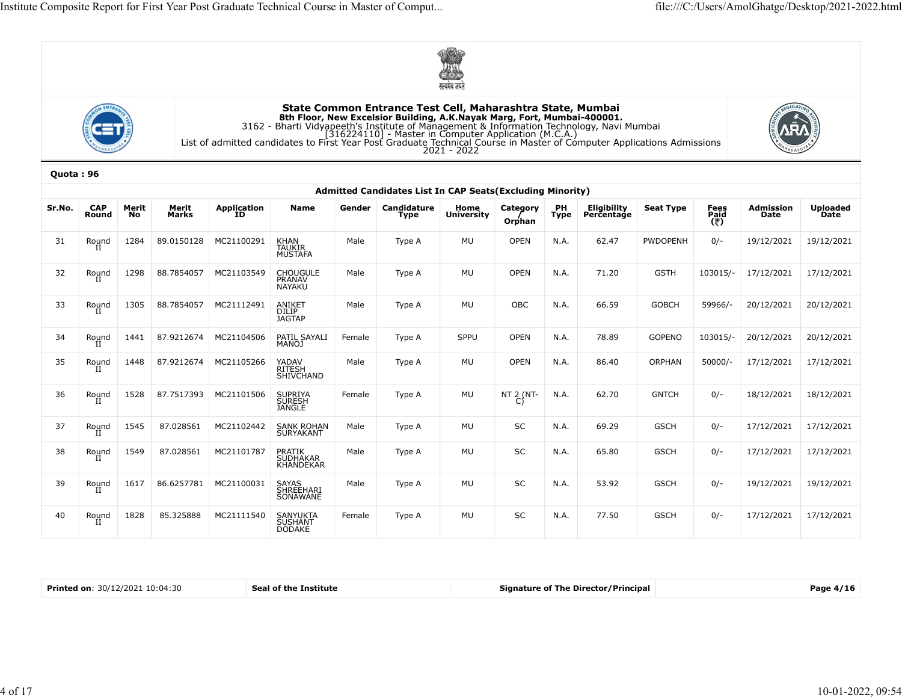





|           |                     |             |                |                   |                                                                                                                                                                                                                                             |        |                                                            | $\circ$<br>मत्यमेव जयते   |                          |                   |                           |                  |                     |                   |                         |
|-----------|---------------------|-------------|----------------|-------------------|---------------------------------------------------------------------------------------------------------------------------------------------------------------------------------------------------------------------------------------------|--------|------------------------------------------------------------|---------------------------|--------------------------|-------------------|---------------------------|------------------|---------------------|-------------------|-------------------------|
|           |                     |             |                |                   | <b>Sth Floor, New Excelsior Building, A.K.Nayak Marg, Fort, Mumbai-400001.</b><br>3162 - Bharti Vidyapeeth's Institute of Management & Information Technology, Navi Mumbai<br>[316224110] - Master in Computer Application (M.C.A.)<br>List |        | State Common Entrance Test Cell, Maharashtra State, Mumbai | $2021 - 2022$             |                          |                   |                           |                  |                     |                   |                         |
| Quota: 96 |                     |             |                |                   |                                                                                                                                                                                                                                             |        | Admitted Candidates List In CAP Seats (Excluding Minority) |                           |                          |                   |                           |                  |                     |                   |                         |
| Sr.No.    | <b>CAP</b><br>Round | Merit<br>No | Merit<br>Marks | Application<br>ID | Name                                                                                                                                                                                                                                        | Gender | Candidature<br>Type                                        | Home<br><b>University</b> | Category<br>Orphan       | PH<br><b>Type</b> | Eligibility<br>Percentage | <b>Seat Type</b> | Fees<br>Paid<br>(そ) | Admission<br>Date | <b>Uploaded</b><br>Date |
| 31        | Round               | 1284        | 89.0150128     | MC21100291        | KHAN<br>TAUKIR<br>MUSTAFA                                                                                                                                                                                                                   | Male   | Type A                                                     | MU                        | <b>OPEN</b>              | N.A.              | 62.47                     | PWDOPENH         | $0/-$               | 19/12/2021        | 19/12/2021              |
| 32        | Round               | 1298        | 88.7854057     | MC21103549        | CHOUGULE<br>PRANAV<br>NAYAKU                                                                                                                                                                                                                | Male   | Type A                                                     | MU                        | <b>OPEN</b>              | N.A.              | 71.20                     | <b>GSTH</b>      | 103015/-            | 17/12/2021        | 17/12/2021              |
| 33        | Round               | 1305        | 88.7854057     | MC21112491        | ANIKET<br>DILIP<br>JAGTAP                                                                                                                                                                                                                   | Male   | Type A                                                     | MU                        | OBC                      | N.A.              | 66.59                     | GOBCH            | 59966/-             | 20/12/2021        | 20/12/2021              |
| 34        | Round               | 1441        | 87.9212674     | MC21104506        | PATIL SAYALI<br>MANOJ                                                                                                                                                                                                                       | Female | Type A                                                     | SPPU                      | <b>OPEN</b>              | N.A.              | 78.89                     | GOPENO           | 103015/-            | 20/12/2021        | 20/12/2021              |
| 35        | Round               | 1448        | 87.9212674     | MC21105266        | YADAV<br>RITESH<br>SHIVCHAND                                                                                                                                                                                                                | Male   | Type A                                                     | MU                        | <b>OPEN</b>              | N.A.              | 86.40                     | ORPHAN           | $50000/-$           | 17/12/2021        | 17/12/2021              |
| 36        | Round<br>-11        | 1528        | 87.7517393     | MC21101506        | SUPRIYA<br>SURESH<br>JANGLE                                                                                                                                                                                                                 | Female | Type A                                                     | MU                        | NT $\overset{2}{C}$ (NT- | N.A.              | 62.70                     | <b>GNTCH</b>     | $0/-$               | 18/12/2021        | 18/12/2021              |
| 37        | Round<br>П          | 1545        | 87.028561      | MC21102442        | SANK ROHAN<br>SURYAKANT                                                                                                                                                                                                                     | Male   | Type A                                                     | MU                        | SC                       | N.A.              | 69.29                     | <b>GSCH</b>      | $0/-$               | 17/12/2021        | 17/12/2021              |
| 38        | Round               | 1549        | 87.028561      | MC21101787        | PRATIK<br>SUDHAKAR<br>KHANDEKAR                                                                                                                                                                                                             | Male   | Type A                                                     | MU                        | SC                       | N.A.              | 65.80                     | <b>GSCH</b>      | $0/-$               | 17/12/2021        | 17/12/2021              |
| 39        | Round<br>п          | 1617        | 86.6257781     | MC21100031        | SAYAS<br>SHREEHARI<br>SONAWANE                                                                                                                                                                                                              | Male   | Type A                                                     | MU                        | SC                       | N.A.              | 53.92                     | <b>GSCH</b>      | $0/-$               | 19/12/2021        | 19/12/2021              |
| 40        | Round<br>П          | 1828        | 85.325888      | MC21111540        | SANYUKTA<br>SUSHANT<br><b>DODAKE</b>                                                                                                                                                                                                        | Female | Type A                                                     | MU                        | SC                       | N.A.              | 77.50                     | <b>GSCH</b>      | $0/-$               | 17/12/2021        | 17/12/2021              |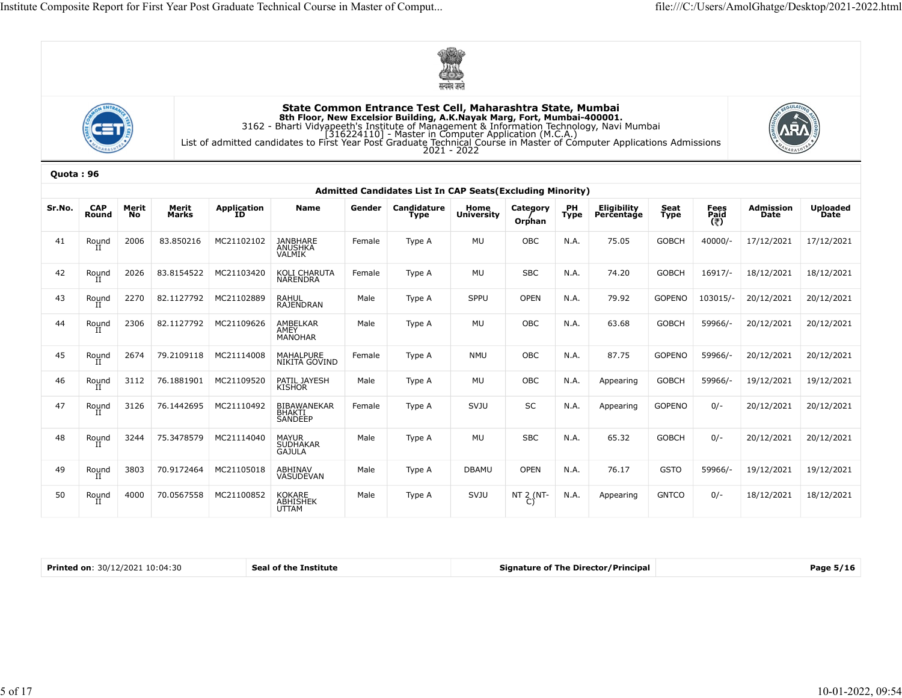





|           |                                 |             |                |                            |                                                                                                                                                                                                                                                                                                                                                                               |        |                                                           | सत्यमेव जयते              |                    |            |                                            |              |                     |                          |                         |
|-----------|---------------------------------|-------------|----------------|----------------------------|-------------------------------------------------------------------------------------------------------------------------------------------------------------------------------------------------------------------------------------------------------------------------------------------------------------------------------------------------------------------------------|--------|-----------------------------------------------------------|---------------------------|--------------------|------------|--------------------------------------------|--------------|---------------------|--------------------------|-------------------------|
|           |                                 |             |                |                            | State Common Entrance Test Cell, Maharashtra State, Mumbai<br>8th Floor, New Excelsior Building, A.K.Nayak Marg, Fort, Mumbai-400001.<br>3162 - Bharti Vidyapeeth's Institute of Management & Information Technology, Navi Mumbai<br>[316224110] - Master in Computer Application (M.C.A.)<br>List of admitted candidates to First Year Post Graduate Technical Course in Mas |        |                                                           | $2021 - 2022$             |                    |            |                                            |              |                     |                          |                         |
| Quota: 96 |                                 |             |                |                            |                                                                                                                                                                                                                                                                                                                                                                               |        |                                                           |                           |                    |            |                                            |              |                     |                          |                         |
|           |                                 |             |                |                            |                                                                                                                                                                                                                                                                                                                                                                               |        | Admitted Candidates List In CAP Seats(Excluding Minority) |                           |                    |            |                                            |              |                     |                          |                         |
| Sr.No.    | <b>CAP</b><br>Round             | Merit<br>No | Merit<br>Marks | Application<br>ID          | Name                                                                                                                                                                                                                                                                                                                                                                          | Gender | Candidature<br><b>Type</b>                                | Home<br><b>University</b> | Category<br>Orphan | PH<br>Type | Eligibility<br>Percentage                  | Seat<br>Type | Fees<br>Paid<br>(そ) | <b>Admission</b><br>Date | <b>Uploaded</b><br>Date |
| 41        | Round                           | 2006        | 83.850216      | MC21102102                 | <b>JANBHARE</b><br>ANUSHKA<br>VALMIK                                                                                                                                                                                                                                                                                                                                          | Female | Type A                                                    | MU                        | OBC                | N.A.       | 75.05                                      | <b>GOBCH</b> | $40000/-$           | 17/12/2021               | 17/12/2021              |
| 42        | Round                           | 2026        | 83.8154522     | MC21103420                 | KOLI CHARUTA<br>NARENDRA                                                                                                                                                                                                                                                                                                                                                      | Female | Type A                                                    | MU                        | <b>SBC</b>         | N.A.       | 74.20                                      | <b>GOBCH</b> | 16917/-             | 18/12/2021               | 18/12/2021              |
| 43        | Round                           | 2270        | 82.1127792     | MC21102889                 | RAHUL<br>RAJENDRAN                                                                                                                                                                                                                                                                                                                                                            | Male   | Type A                                                    | <b>SPPU</b>               | <b>OPEN</b>        | N.A.       | 79.92                                      | GOPENO       | 103015/-            | 20/12/2021               | 20/12/2021              |
| 44        | Round                           | 2306        | 82.1127792     | MC21109626                 | AMBELKAR<br>AMEY<br>MANOHAR                                                                                                                                                                                                                                                                                                                                                   | Male   | Type A                                                    | MU                        | OBC                | N.A.       | 63.68                                      | <b>GOBCH</b> | 59966/-             | 20/12/2021               | 20/12/2021              |
| 45        | Round                           | 2674        | 79.2109118     | MC21114008                 | MAHALPURE<br>NIKITA GOVIND                                                                                                                                                                                                                                                                                                                                                    | Female | Type A                                                    | NMU                       | OBC                | N.A.       | 87.75                                      | GOPENO       | 59966/-             | 20/12/2021               | 20/12/2021              |
| 46        | Round                           | 3112        | 76.1881901     | MC21109520                 | PATIL JAYESH<br><b>KISHOR</b>                                                                                                                                                                                                                                                                                                                                                 | Male   | Type A                                                    | MU                        | OBC                | N.A.       | Appearing                                  | <b>GOBCH</b> | 59966/-             | 19/12/2021               | 19/12/2021              |
| 47        | Round<br>-44                    | 3126        | 76.1442695     | MC21110492                 | BIBAWANEKAR<br>SANDEEP                                                                                                                                                                                                                                                                                                                                                        | Female | Type A                                                    | SVJU                      | SC                 | N.A.       | Appearing                                  | GOPENO       | $0/-$               | 20/12/2021               | 20/12/2021              |
| 48        | Round<br>II                     |             |                | 3244 75.3478579 MC21114040 | MAYUR<br>SUDHAKAR<br>GAJULA                                                                                                                                                                                                                                                                                                                                                   | Male   | Type A                                                    | MU                        | SBC                | N.A.       | 65.32                                      | GOBCH        | $0/-$               | 20/12/2021 20/12/2021    |                         |
| 49        | Round                           | 3803        | 70.9172464     | MC21105018                 | ABHINAV<br>VASUDEVAN                                                                                                                                                                                                                                                                                                                                                          | Male   | Type A                                                    | DBAMU                     | OPEN               | N.A.       | 76.17                                      | <b>GSTO</b>  | 59966/-             | 19/12/2021               | 19/12/2021              |
| 50        | Round                           | 4000        | 70.0567558     | MC21100852                 | KOKARE<br>A <u>BH</u> ISHEK<br>UTTAM                                                                                                                                                                                                                                                                                                                                          | Male   | Type A                                                    | SVJU                      | NT 2 (NT-<br>C)    | N.A.       | Appearing                                  | <b>GNTCO</b> | $0/-$               | 18/12/2021               | 18/12/2021              |
|           |                                 |             |                |                            |                                                                                                                                                                                                                                                                                                                                                                               |        |                                                           |                           |                    |            |                                            |              |                     |                          |                         |
|           | Printed on: 30/12/2021 10:04:30 |             |                |                            | Seal of the Institute                                                                                                                                                                                                                                                                                                                                                         |        |                                                           |                           |                    |            | <b>Signature of The Director/Principal</b> |              |                     |                          | Page 5/16               |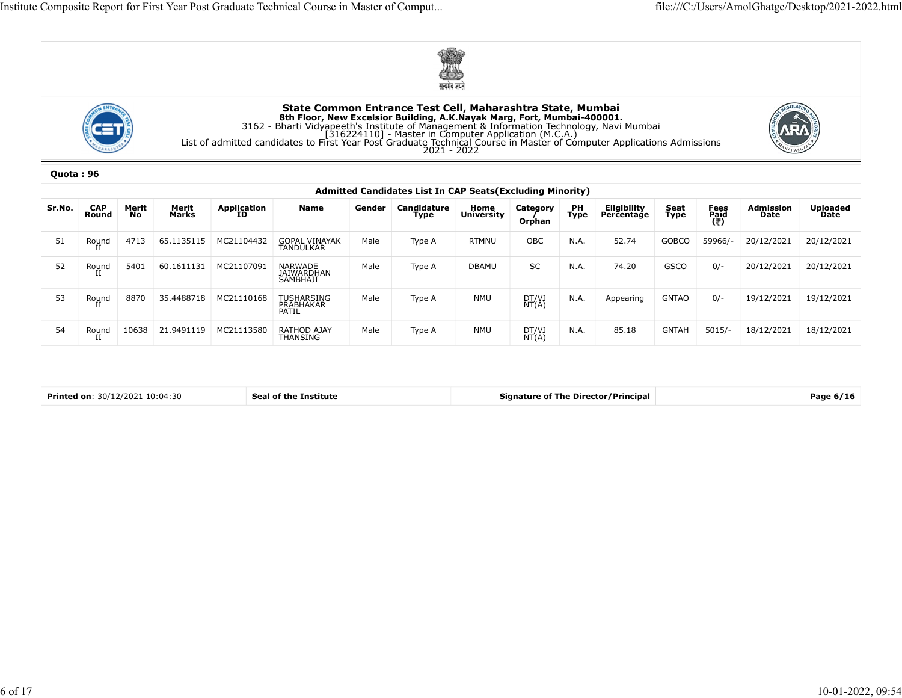





|           |                     |             |                |                         |                                                                                                                                                                                                                                                                                                            |        | सत्यमेव जयते                                                      |                    |                    |            |                           |              |                     |                          |                         |
|-----------|---------------------|-------------|----------------|-------------------------|------------------------------------------------------------------------------------------------------------------------------------------------------------------------------------------------------------------------------------------------------------------------------------------------------------|--------|-------------------------------------------------------------------|--------------------|--------------------|------------|---------------------------|--------------|---------------------|--------------------------|-------------------------|
|           |                     |             |                |                         | State Common Entrance Test Cell, Maharashtra State, Mumbai<br><b>Sth Floor, New Excelsior Building, A.K.Nayak Marg, Fort, Mumbai-400001.</b><br>3162 - Bharti Vidyapeeth's Institute of Management & Information Technology, Navi Mumbai<br>[316224110] - Master in Computer Application (M.C.A.)<br>16224 |        |                                                                   |                    |                    |            |                           |              |                     |                          |                         |
| Quota: 96 |                     |             |                |                         |                                                                                                                                                                                                                                                                                                            |        | <b>Admitted Candidates List In CAP Seats (Excluding Minority)</b> |                    |                    |            |                           |              |                     |                          |                         |
| Sr.No.    | <b>CAP</b><br>Round | Merit<br>No | Merit<br>Marks | Application<br>ID       | <b>Name</b>                                                                                                                                                                                                                                                                                                | Gender | Candidature<br>Type                                               | Home<br>University | Category<br>Orphan | PH<br>Type | Eligibility<br>Percentage | Seat<br>Type | Fees<br>Paid<br>(そ) | <b>Admission</b><br>Date | <b>Uploaded</b><br>Date |
| 51        | Round<br>II         | 4713        | 65.1135115     | MC21104432              | GOPAL VINAYAK<br>TANDULKAR                                                                                                                                                                                                                                                                                 | Male   | Type A                                                            | <b>RTMNU</b>       | OBC                | N.A.       | 52.74                     | GOBCO        | 59966/-             | 20/12/2021               | 20/12/2021              |
| 52        | Round               | 5401        | 60.1611131     | MC21107091              | NARWADE<br>JAIWARDHAN<br>SAMBHAJI                                                                                                                                                                                                                                                                          | Male   | Type A                                                            | DBAMU              | SC                 | N.A.       | 74.20                     | GSCO         | $0/-$               | 20/12/2021               | 20/12/2021              |
| 53        | Round               | 8870        | 35.4488718     | MC21110168              | TUSHARSING<br>PRABHAKAR<br>PATIL                                                                                                                                                                                                                                                                           | Male   | Type A                                                            | <b>NMU</b>         | DT/VJ<br>NT(A)     | N.A.       | Appearing                 | <b>GNTAO</b> | $0/-$               | 19/12/2021               | 19/12/2021              |
| 54        | Round               | 10638       |                | 21.9491119   MC21113580 | RATHOD AJAY<br>THANSING                                                                                                                                                                                                                                                                                    | Male   | Type A                                                            | NMU                | DT/VJ<br>NT(A)     | N.A.       | 85.18                     | <b>GNTAH</b> | $5015/-$            | 18/12/2021               | 18/12/2021              |

| <b>Printed on: 30/12/2021 10:04:30</b> |
|----------------------------------------|
|----------------------------------------|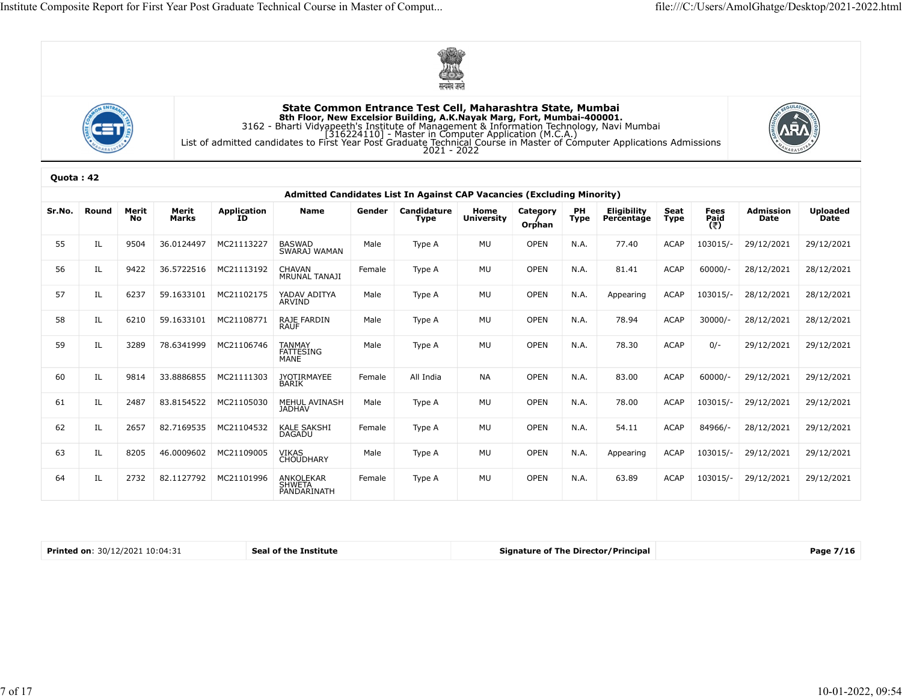





| Quota: 42 |
|-----------|
|-----------|

|           |       |             |                |                         |                                                                                                                                                                                                                                                                                                           |        | सत्यमेव जयते        |                           |                    |            |                           |              |                     |                          |                         |
|-----------|-------|-------------|----------------|-------------------------|-----------------------------------------------------------------------------------------------------------------------------------------------------------------------------------------------------------------------------------------------------------------------------------------------------------|--------|---------------------|---------------------------|--------------------|------------|---------------------------|--------------|---------------------|--------------------------|-------------------------|
|           |       |             |                |                         | State Common Entrance Test Cell, Maharashtra State, Mumbai<br><b>Sth Floor, New Excelsior Building, A.K.Nayak Marg, Fort, Mumbai-400001.</b><br>3162 - Bharti Vidyapeeth's Institute of Management & Information Technology, Navi Mumbai<br>1316224110] - Master in Computer Application (M.C.A.)<br>List |        |                     |                           |                    |            |                           |              |                     |                          |                         |
| Quota: 42 |       |             |                |                         | Admitted Candidates List In Against CAP Vacancies (Excluding Minority)                                                                                                                                                                                                                                    |        |                     |                           |                    |            |                           |              |                     |                          |                         |
| Sr.No.    | Round | Merit<br>No | Merit<br>Marks | Application<br>ID       | Name                                                                                                                                                                                                                                                                                                      | Gender | Candidature<br>Type | Home<br><b>University</b> | Category<br>Orphan | PH<br>Type | Eligibility<br>Percentage | Seat<br>Type | Fees<br>Paid<br>(₹) | <b>Admission</b><br>Date | <b>Uploaded</b><br>Date |
| 55        |       | 9504        | 36.0124497     | MC21113227              | BASWAD<br>SWARAJ WAMAN                                                                                                                                                                                                                                                                                    | Male   | Type A              | MU                        | OPEN               | N.A.       | 77.40                     | <b>ACAP</b>  | 103015/-            | 29/12/2021               | 29/12/2021              |
| 56        | IL    | 9422        |                | 36.5722516 MC21113192   | CHAVAN<br>MRUNAL TANAJI                                                                                                                                                                                                                                                                                   | Female | Type A              | MU                        | OPEN               | N.A.       | 81.41                     | <b>ACAP</b>  | $60000/-$           | 28/12/2021               | 28/12/2021              |
| 57        | IL    | 6237        | 59.1633101     | MC21102175              | YADAV ADITYA<br>ARVIND                                                                                                                                                                                                                                                                                    | Male   | Type A              | MU                        | OPEN               | N.A.       | Appearing                 | <b>ACAP</b>  | 103015/-            | 28/12/2021               | 28/12/2021              |
| 58        | IL    | 6210        | 59.1633101     | MC21108771              | RAJE FARDIN<br>RAUF                                                                                                                                                                                                                                                                                       | Male   | Type A              | MU                        | OPEN               | N.A.       | 78.94                     | <b>ACAP</b>  | $30000/-$           | 28/12/2021               | 28/12/2021              |
| 59        | IL    | 3289        | 78.6341999     | MC21106746              | TANMAY<br>FATTESING<br><b>MANE</b>                                                                                                                                                                                                                                                                        | Male   | Type A              | MU                        | OPEN               | N.A.       | 78.30                     | <b>ACAP</b>  | $0/-$               | 29/12/2021               | 29/12/2021              |
| 60        | ΙL    | 9814        | 33.8886855     | MC21111303              | JYOTIRMAYEE<br>BARIK                                                                                                                                                                                                                                                                                      | Female | All India           | NA                        | OPEN               | N.A.       | 83.00                     | <b>ACAP</b>  | $60000/-$           | 29/12/2021               | 29/12/2021              |
| 61        | IL    | 2487        |                | 83.8154522 MC21105030   | MEHUL AVINASH<br>JADHAV                                                                                                                                                                                                                                                                                   | Male   | Type A              | MU                        | OPEN               | N.A.       | 78.00                     | <b>ACAP</b>  | 103015/-            | 29/12/2021               | 29/12/2021              |
| 62        | IL    | 2657        |                | 82.7169535   MC21104532 | KALE SAKSHI<br>DAGADU                                                                                                                                                                                                                                                                                     | Female | Type A              | MU                        | OPEN               | N.A.       | 54.11                     | ACAP         | 84966/-             | 28/12/2021               | 29/12/2021              |
| 63        | IL    | 8205        |                | 46.0009602 MC21109005   | VIKAS<br>CHOUDHARY                                                                                                                                                                                                                                                                                        | Male   | Type A              | MU                        | OPEN               | N.A.       | Appearing                 | ACAP         | 103015/-            | 29/12/2021               | 29/12/2021              |
| 64        | IL    | 2732        |                | 82.1127792 MC21101996   | ANKOLEKAR<br>SHWETA<br>PANDARINATH                                                                                                                                                                                                                                                                        | Female | Type A              | MU                        | OPEN               | N.A.       | 63.89                     | ACAP         | 103015/-            | 29/12/2021               | 29/12/2021              |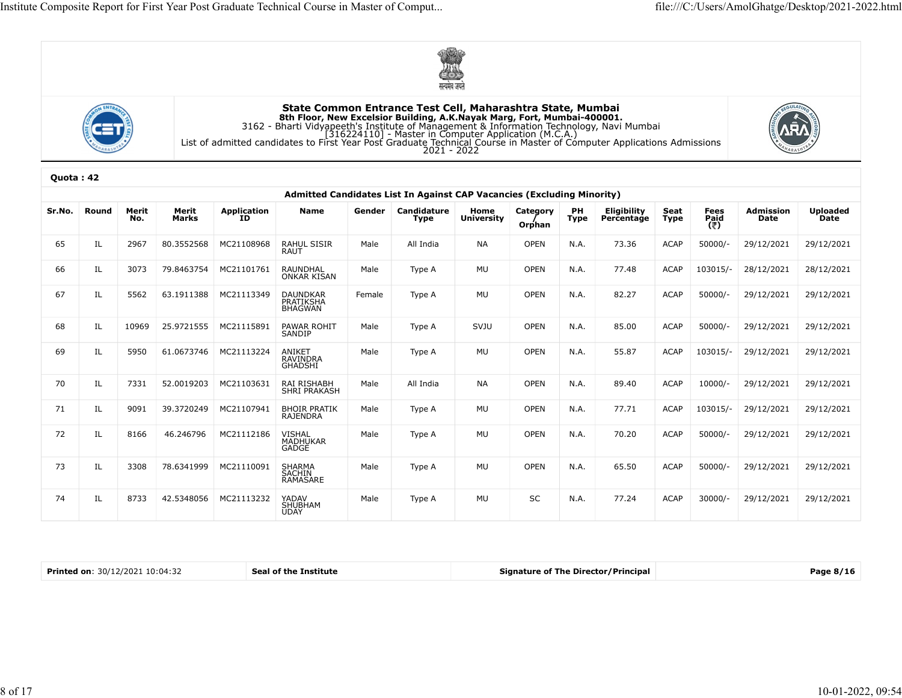





| Quota: 42 |
|-----------|
|-----------|

|           |                                 |              |                |                       |                                                                                                                                                                                                                                                                                                                                                                    |        | $\mathbf{O}$<br>सत्यमेव जयते                                           |                    |                    |            |                                            |              |                     |                   |                         |
|-----------|---------------------------------|--------------|----------------|-----------------------|--------------------------------------------------------------------------------------------------------------------------------------------------------------------------------------------------------------------------------------------------------------------------------------------------------------------------------------------------------------------|--------|------------------------------------------------------------------------|--------------------|--------------------|------------|--------------------------------------------|--------------|---------------------|-------------------|-------------------------|
|           |                                 |              |                |                       | State Common Entrance Test Cell, Maharashtra State, Mumbai<br>8th Floor, New Excelsior Building, A.K.Nayak Marg, Fort, Mumbai-400001.<br>3162 - Bharti Vidyapeeth's Institute of Management & Information Technology, Navi Mumbai<br>[316224110] - Master in Computer Application (M.C.A.)<br>[316224110] - Master in Computer Application (M.C.A.)<br>2021 - 2022 |        |                                                                        |                    |                    |            |                                            |              |                     |                   |                         |
| Quota: 42 |                                 |              |                |                       |                                                                                                                                                                                                                                                                                                                                                                    |        | Admitted Candidates List In Against CAP Vacancies (Excluding Minority) |                    |                    |            |                                            |              |                     |                   |                         |
| Sr.No.    | Round                           | Merit<br>No. | Merit<br>Marks | Application<br>ID     | Name                                                                                                                                                                                                                                                                                                                                                               | Gender | Candidature<br>Type                                                    | Home<br>University | Category<br>Orphan | PH<br>Type | Eligibility<br>Percentage                  | Seat<br>Type | Fees<br>Paid<br>(き) | Admission<br>Date | <b>Uploaded</b><br>Date |
| 65        |                                 | 2967         | 80.3552568     | MC21108968            | RAHUL SISIR<br>RAUT                                                                                                                                                                                                                                                                                                                                                | Male   | All India                                                              | NA                 | <b>OPEN</b>        | N.A.       | 73.36                                      | <b>ACAP</b>  | 50000/              | 29/12/2021        | 29/12/2021              |
| 66        | IL                              | 3073         | 79.8463754     | MC21101761            | RAUNDHAL<br>ONKAR KISAN                                                                                                                                                                                                                                                                                                                                            | Male   | Type A                                                                 | MU                 | <b>OPEN</b>        | N.A.       | 77.48                                      | <b>ACAP</b>  | 103015/-            | 28/12/2021        | 28/12/2021              |
| 67        | IL                              | 5562         |                | 63.1911388 MC21113349 | DAUNDKAR<br>PRATIKSHA<br>BHAGWAN                                                                                                                                                                                                                                                                                                                                   | Female | Type A                                                                 | MU                 | <b>OPEN</b>        | N.A.       | 82.27                                      | ACAP         | 50000/-             | 29/12/2021        | 29/12/2021              |
| 68        | IL                              | 10969        | 25.9721555     | MC21115891            | PAWAR ROHIT<br>SANDIP                                                                                                                                                                                                                                                                                                                                              | Male   | Type A                                                                 | SVJU               | OPEN               | N.A.       | 85.00                                      | ACAP         | 50000/              | 29/12/2021        | 29/12/2021              |
| 69        | IL                              | 5950         |                | 61.0673746 MC21113224 | ANIKET<br>RAVINDRA<br>GHADSHI                                                                                                                                                                                                                                                                                                                                      | Male   | Type A                                                                 | MU                 | <b>OPEN</b>        | N.A.       | 55.87                                      | ACAP         | 103015/-            | 29/12/2021        | 29/12/2021              |
| 70        | IL                              | 7331         | 52.0019203     | MC21103631            | RAI RISHABH<br>SHRI PRAKASH                                                                                                                                                                                                                                                                                                                                        | Male   | All India                                                              | NA                 | <b>OPEN</b>        | N.A.       | 89.40                                      | ACAP         | 10000/              | 29/12/2021        | 29/12/2021              |
| 71        | IL                              | 9091         |                | 39.3720249 MC21107941 | <b>BHOIR PRATIK</b><br>RAJENDRA                                                                                                                                                                                                                                                                                                                                    | Male   | Type A                                                                 | MU                 | OPEN               | N.A.       | 77.71                                      | <b>ACAP</b>  | 103015/-            | 29/12/2021        | 29/12/2021              |
| 72        | IL                              | 8166         | 46.246796      | MC21112186            | VISHAL<br>MADHUKAR<br>GADGE                                                                                                                                                                                                                                                                                                                                        | Male   | Type A                                                                 | MU                 | OPEN               | N.A.       | 70.20                                      | <b>ACAP</b>  | 50000/-             | 29/12/2021        | 29/12/2021              |
| 73        | IL                              | 3308         |                | 78.6341999 MC21110091 | SHARMA<br>SACHIN<br>RAMASARE                                                                                                                                                                                                                                                                                                                                       | Male   | Type A                                                                 | MU                 | OPEN               | N.A.       | 65.50                                      | ACAP         | 50000/-             | 29/12/2021        | 29/12/2021              |
| 74        | IL                              | 8733         |                | 42.5348056 MC21113232 | YADAV<br>SHUBHAM<br>UDAY                                                                                                                                                                                                                                                                                                                                           | Male   | Type A                                                                 | MU                 | $\sf SC$           | N.A.       | 77.24                                      | ACAP         | 30000/-             | 29/12/2021        | 29/12/2021              |
|           |                                 |              |                |                       |                                                                                                                                                                                                                                                                                                                                                                    |        |                                                                        |                    |                    |            |                                            |              |                     |                   |                         |
|           | Printed on: 30/12/2021 10:04:32 |              |                |                       | Seal of the Institute                                                                                                                                                                                                                                                                                                                                              |        |                                                                        |                    |                    |            | <b>Signature of The Director/Principal</b> |              |                     |                   | Page 8/16               |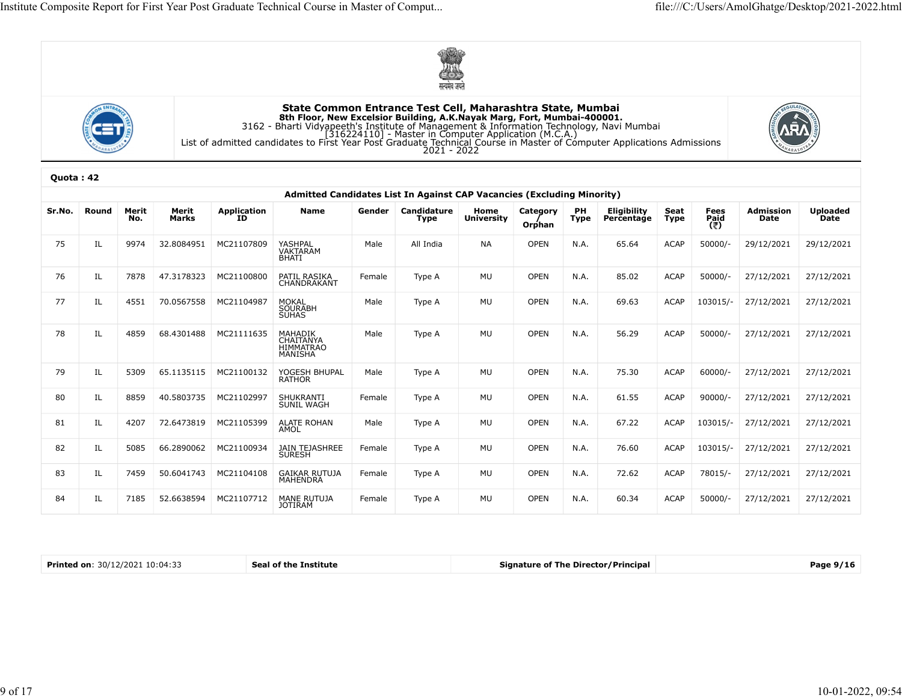





|           |       |       |            |                         |                                                                                                                                                                                                                                                                                                            |        | सत्यमेव जयते |                    |             |      |             |             |                     |                     |                 |
|-----------|-------|-------|------------|-------------------------|------------------------------------------------------------------------------------------------------------------------------------------------------------------------------------------------------------------------------------------------------------------------------------------------------------|--------|--------------|--------------------|-------------|------|-------------|-------------|---------------------|---------------------|-----------------|
|           |       |       |            |                         | State Common Entrance Test Cell, Maharashtra State, Mumbai<br><b>Sth Floor, New Excelsior Building, A.K.Nayak Marg, Fort, Mumbai-400001.</b><br>3162 - Bharti Vidyapeeth's Institute of Management & Information Technology, Navi Mumbai<br>[316224110] - Master in Computer Application (M.C.A.)<br>16224 |        |              |                    |             |      |             |             |                     |                     |                 |
| Quota: 42 |       |       |            |                         |                                                                                                                                                                                                                                                                                                            |        |              |                    |             |      |             |             |                     |                     |                 |
| Sr.No.    | Round | Merit | Merit      | Application<br>ID       | Admitted Candidates List In Against CAP Vacancies (Excluding Minority)<br>Name                                                                                                                                                                                                                             | Gender | Candidature  |                    | Category    | PH   | Eligibility | Seat        |                     | <b>Admission</b>    | <b>Uploaded</b> |
|           |       | No.   | Marks      |                         |                                                                                                                                                                                                                                                                                                            |        | Type         | Home<br>University | Orphan      | Type | Percentage  | Type        | Fees<br>Paid<br>(₹) | Date                | Date            |
| 75        | IL    | 9974  | 32.8084951 | MC21107809              | YASHPAL<br>VAKTARAM<br>BHATI                                                                                                                                                                                                                                                                               | Male   | All India    | <b>NA</b>          | <b>OPEN</b> | N.A. | 65.64       | <b>ACAP</b> | $50000/-$           | 29/12/2021          | 29/12/2021      |
| 76        | IL    | 7878  | 47.3178323 | MC21100800              | PATIL RASIKA<br>CHANDRAKANT                                                                                                                                                                                                                                                                                | Female | Type A       | MU                 | OPEN        | N.A. | 85.02       | <b>ACAP</b> | $50000/-$           | 27/12/2021          | 27/12/2021      |
| 77        | IL    | 4551  | 70.0567558 | MC21104987              | MOKAL<br>SOURABH<br>SUHAS                                                                                                                                                                                                                                                                                  | Male   | Type A       | MU                 | OPEN        | N.A. | 69.63       | <b>ACAP</b> | 103015/-            | 27/12/2021          | 27/12/2021      |
| 78        | IL    | 4859  | 68.4301488 | MC21111635              | <b>MAHADIK</b><br>CHAITANYA<br><b>HIMMATRAO</b><br>MANISHA                                                                                                                                                                                                                                                 | Male   | Type A       | MU                 | <b>OPEN</b> | N.A. | 56.29       | <b>ACAP</b> | $50000/-$           | 27/12/2021          | 27/12/2021      |
| 79        | IL    | 5309  | 65.1135115 | MC21100132              | YOGESH BHUPAL<br>RATHOR                                                                                                                                                                                                                                                                                    | Male   | Type A       | MU                 | OPEN        | N.A. | 75.30       | <b>ACAP</b> | $60000/-$           | 27/12/2021          | 27/12/2021      |
| 80        | IL    | 8859  | 40.5803735 | MC21102997              | SHUKRANTI<br>SUNIL WAGH                                                                                                                                                                                                                                                                                    | Female | Type A       | MU                 | <b>OPEN</b> | N.A. | 61.55       | <b>ACAP</b> | 90000/              | 27/12/2021          | 27/12/2021      |
| 81        | IL    | 4207  |            | 72.6473819 MC21105399   | ALATE ROHAN<br>AMOL                                                                                                                                                                                                                                                                                        | Male   | Type A       | MU                 | OPEN        | N.A. | 67.22       | ACAP        |                     | 103015/- 27/12/2021 | 27/12/2021      |
| 82        | IL    | 5085  |            | 66.2890062 MC21100934   | JAIN TEJASHREE<br>SURESH                                                                                                                                                                                                                                                                                   | Female | Type A       | MU                 | OPEN        | N.A. | 76.60       | <b>ACAP</b> |                     | 103015/- 27/12/2021 | 27/12/2021      |
| 83        | IL    | 7459  |            | 50.6041743   MC21104108 | GAIKAR RUTUJA<br>MAHENDRA                                                                                                                                                                                                                                                                                  | Female | Type A       | MU                 | <b>OPEN</b> | N.A. | 72.62       | <b>ACAP</b> | 78015/-             | 27/12/2021          | 27/12/2021      |
| 84        | IL    | 7185  |            | 52.6638594 MC21107712   | MANE RUTUJA<br>JOTIRAM                                                                                                                                                                                                                                                                                     | Female | Type A       | MU                 | OPEN        | N.A. | 60.34       | <b>ACAP</b> | 50000/-             | 27/12/2021          | 27/12/2021      |

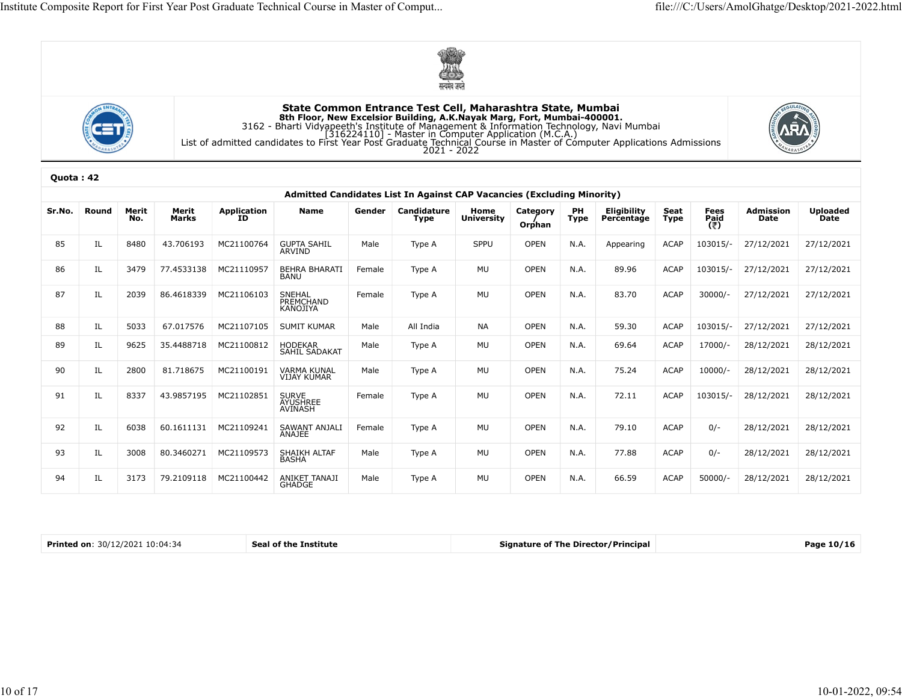





|           |       |       |                |                         |                                                                                                                                                                                                                                                                                                           |        | सत्यमेव जयते |                   |             |             |             |             |                       |            |                 |
|-----------|-------|-------|----------------|-------------------------|-----------------------------------------------------------------------------------------------------------------------------------------------------------------------------------------------------------------------------------------------------------------------------------------------------------|--------|--------------|-------------------|-------------|-------------|-------------|-------------|-----------------------|------------|-----------------|
|           |       |       |                |                         | State Common Entrance Test Cell, Maharashtra State, Mumbai<br><b>Sth Floor, New Excelsior Building, A.K.Nayak Marg, Fort, Mumbai-400001.</b><br>3162 - Bharti Vidyapeeth's Institute of Management & Information Technology, Navi Mumbai<br>1316224110] - Master in Computer Application (M.C.A.)<br>List |        |              |                   |             |             |             |             |                       |            |                 |
| Quota: 42 |       |       |                |                         |                                                                                                                                                                                                                                                                                                           |        |              |                   |             |             |             |             |                       |            |                 |
| Sr.No.    | Round | Merit | Merit<br>Marks | Application<br>ID       | Admitted Candidates List In Against CAP Vacancies (Excluding Minority)<br>Name                                                                                                                                                                                                                            | Gender | Candidature  | Home              | Category    | PH          | Eligibility | Seat        | Fees<br>P <u>ai</u> d | Admission  | <b>Uploaded</b> |
|           |       | No.   |                |                         |                                                                                                                                                                                                                                                                                                           |        | Type         | <b>University</b> | Orphan      | <b>Type</b> | Percentage  | Type        | (₹)                   | Date       | Date            |
| 85        | IL    | 8480  | 43.706193      | MC21100764              | GUPTA SAHIL<br>ARVIND                                                                                                                                                                                                                                                                                     | Male   | Type A       | SPPU              | <b>OPEN</b> | N.A.        | Appearing   | <b>ACAP</b> | 103015/-              | 27/12/2021 | 27/12/2021      |
| 86        | IL    | 3479  | 77.4533138     | MC21110957              | BEHRA BHARATI<br>BANU                                                                                                                                                                                                                                                                                     | Female | Type A       | MU                | <b>OPEN</b> | N.A.        | 89.96       | ACAP        | 103015/-              | 27/12/2021 | 27/12/2021      |
| 87        | IL    | 2039  |                | 86.4618339 MC21106103   | SNEHAL<br>PREMCHAND<br>KANOJIYA                                                                                                                                                                                                                                                                           | Female | Type A       | MU                | <b>OPEN</b> | N.A.        | 83.70       | <b>ACAP</b> | $30000/-$             | 27/12/2021 | 27/12/2021      |
| 88        | IL    | 5033  | 67.017576      | MC21107105              | <b>SUMIT KUMAR</b>                                                                                                                                                                                                                                                                                        | Male   | All India    | NA                | OPEN        | N.A.        | 59.30       | ACAP        | 103015/-              | 27/12/2021 | 27/12/2021      |
| 89        | IL    | 9625  | 35.4488718     | MC21100812              | HODEKAR<br>SAHIL SADAKAT                                                                                                                                                                                                                                                                                  | Male   | Type A       | MU                | <b>OPEN</b> | N.A.        | 69.64       | ACAP        | 17000/-               | 28/12/2021 | 28/12/2021      |
| 90        | IL    | 2800  | 81.718675      | MC21100191              | VARMA KUNAL<br>VIJAY KUMAR                                                                                                                                                                                                                                                                                | Male   | Type A       | MU                | OPEN        | N.A.        | 75.24       | ACAP        | $10000/-$             | 28/12/2021 | 28/12/2021      |
| 91        | IL    | 8337  |                | 43.9857195   MC21102851 | SURVE<br>AYUSHREE<br>AVINASH                                                                                                                                                                                                                                                                              | Female | Type A       | MU                | <b>OPEN</b> | N.A.        | 72.11       | <b>ACAP</b> | 103015/-              | 28/12/2021 | 28/12/2021      |
| 92        | IL    | 6038  |                | 60.1611131 MC21109241   | SAWANT ANJALI<br>ANAJEE                                                                                                                                                                                                                                                                                   | Female | Type A       | MU                | OPEN        | N.A.        | 79.10       | ACAP        | $0/-$                 | 28/12/2021 | 28/12/2021      |
| 93        | IL    | 3008  |                | 80.3460271 MC21109573   | SHAIKH ALTAF<br>BASHA                                                                                                                                                                                                                                                                                     | Male   | Type A       | MU                | OPEN        | N.A.        | 77.88       | ACAP        | $0/-$                 | 28/12/2021 | 28/12/2021      |
| 94        | IL    | 3173  |                | 79.2109118 MC21100442   | ANIKET TANAJI<br>GHADGE                                                                                                                                                                                                                                                                                   | Male   | Type A       | MU                | OPEN        | N.A.        | 66.59       | ACAP        | 50000/-               | 28/12/2021 | 28/12/2021      |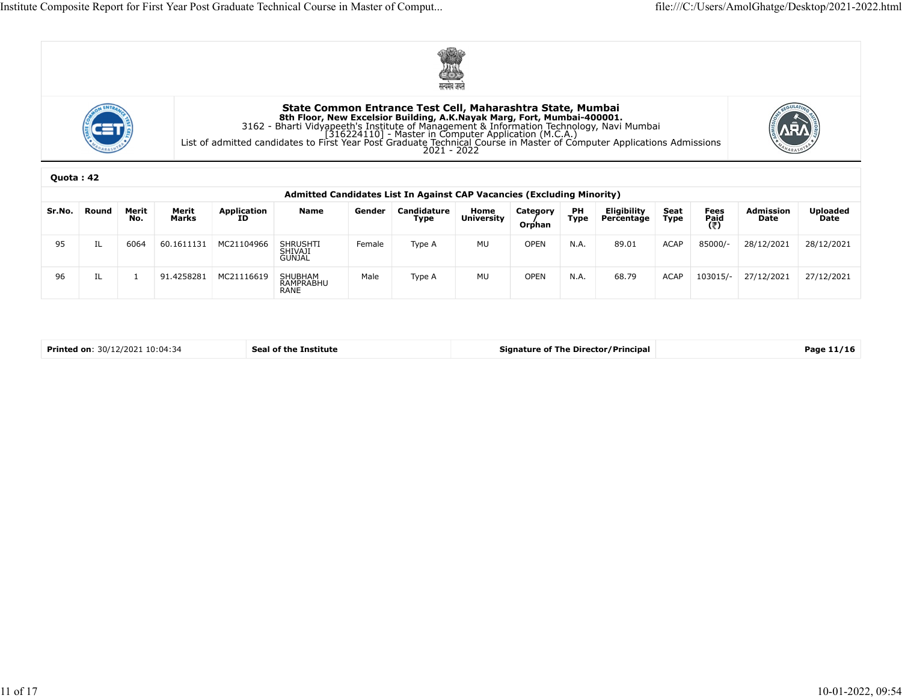





|        |           |                |                                                                                                                                                                                                                                                                                                           |                       | Composite Report for First Year Post Graduate Technical Course in Master of Comput                                                                                                                                                                                                                 |        |             |    |             |      |       |             |                   | file:///C:/Users/AmolGhatge/Desktop/2021-2022.html |            |
|--------|-----------|----------------|-----------------------------------------------------------------------------------------------------------------------------------------------------------------------------------------------------------------------------------------------------------------------------------------------------------|-----------------------|----------------------------------------------------------------------------------------------------------------------------------------------------------------------------------------------------------------------------------------------------------------------------------------------------|--------|-------------|----|-------------|------|-------|-------------|-------------------|----------------------------------------------------|------------|
|        |           |                |                                                                                                                                                                                                                                                                                                           |                       |                                                                                                                                                                                                                                                                                                    |        | सत्यमेव जयत |    |             |      |       |             |                   |                                                    |            |
|        |           |                |                                                                                                                                                                                                                                                                                                           |                       | State Common Entrance Test Cell, Maharashtra State, Mumbai<br>3162 - State Communion Entrance Test Center Augusta Participal ALK, New Keelsion Builing, A.K.Nayak Marg, Fort, Mumbai-400001.<br>3162 - Bharti Vidyapeeth's Institute of Management & Information Technology, Navi Mumbai<br>[31622 |        |             |    |             |      |       |             |                   |                                                    |            |
|        | Quota: 42 |                |                                                                                                                                                                                                                                                                                                           |                       |                                                                                                                                                                                                                                                                                                    |        |             |    |             |      |       |             |                   |                                                    |            |
| Sr.No. | Round     | Merit<br>No.   | Admitted Candidates List In Against CAP Vacancies (Excluding Minority)<br>Eligibility<br>Percentage<br>Merit<br>Marks<br>Application<br>ID<br><b>Name</b><br>Candidature<br>Category<br>PH<br>Seat<br>Fees<br>Paid<br>(そ)<br>Gender<br>Home<br>University<br>Type<br><b>Type</b><br><b>Type</b><br>Orphan |                       |                                                                                                                                                                                                                                                                                                    |        |             |    |             |      |       |             | Admission<br>Date | <b>Uploaded</b><br>Date                            |            |
| 95     | -IL       | 6064           |                                                                                                                                                                                                                                                                                                           | 60.1611131 MC21104966 | SHRUSHTI<br>SHIVAJI<br>GUNJAL                                                                                                                                                                                                                                                                      | Female | Type A      | MU | <b>OPEN</b> | N.A. | 89.01 | <b>ACAP</b> | 85000/-           | 28/12/2021                                         | 28/12/2021 |
| 96     | IL        | $\overline{1}$ |                                                                                                                                                                                                                                                                                                           | 91.4258281 MC21116619 | SHUBHAM<br>RAMPRABHU<br>RANE                                                                                                                                                                                                                                                                       | Male   | Type A      | MU | OPEN        | N.A. | 68.79 | <b>ACAP</b> | 103015/-          | 27/12/2021                                         | 27/12/2021 |
|        |           |                |                                                                                                                                                                                                                                                                                                           |                       |                                                                                                                                                                                                                                                                                                    |        |             |    |             |      |       |             |                   |                                                    |            |
|        |           |                |                                                                                                                                                                                                                                                                                                           |                       |                                                                                                                                                                                                                                                                                                    |        |             |    |             |      |       |             |                   |                                                    |            |

| Printed on: 30/12/2021 10:04:34 | Seal of the Institute | Signature of The Director/Principal | Page 11/16 |
|---------------------------------|-----------------------|-------------------------------------|------------|
|---------------------------------|-----------------------|-------------------------------------|------------|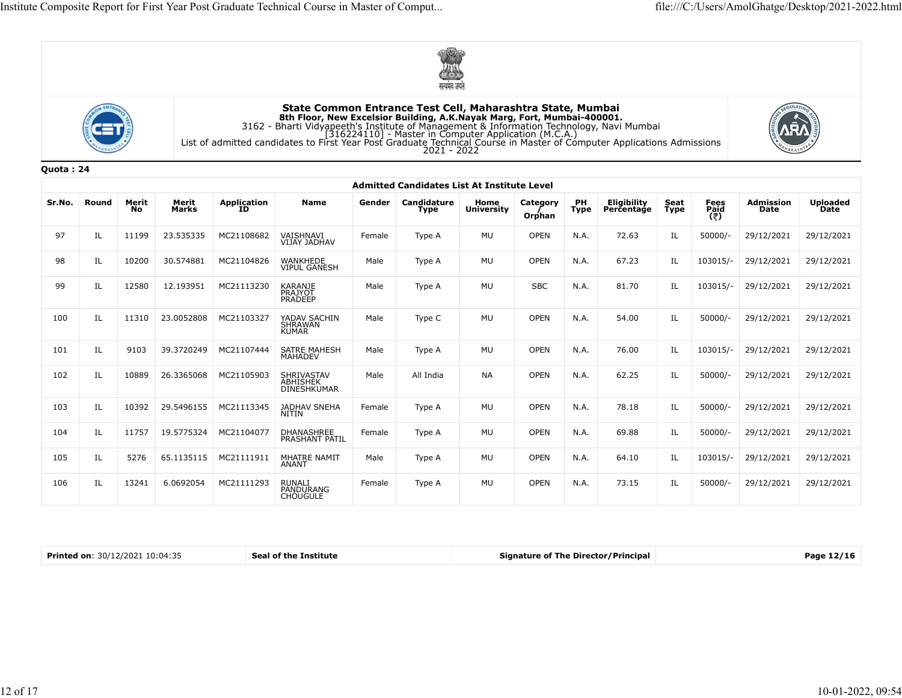





|           |                                 |             |                |                         |                                                                                                                                                                                                                                                                                                           |        | सत्यमेव जयते                                       |                           |                    |            |                                            |              |                     |                   |                         |
|-----------|---------------------------------|-------------|----------------|-------------------------|-----------------------------------------------------------------------------------------------------------------------------------------------------------------------------------------------------------------------------------------------------------------------------------------------------------|--------|----------------------------------------------------|---------------------------|--------------------|------------|--------------------------------------------|--------------|---------------------|-------------------|-------------------------|
|           |                                 |             |                |                         | State Common Entrance Test Cell, Maharashtra State, Mumbai<br><b>Sth Floor, New Excelsior Building, A.K.Nayak Marg, Fort, Mumbai-400001.</b><br>3162 - Bharti Vidyapeeth's Institute of Management & Information Technology, Navi Mumbai<br>[316224110] - Master in Computer Application (M.C.A.)<br>2021 |        |                                                    |                           |                    |            |                                            |              |                     |                   |                         |
| Quota: 24 |                                 |             |                |                         |                                                                                                                                                                                                                                                                                                           |        | <b>Admitted Candidates List At Institute Level</b> |                           |                    |            |                                            |              |                     |                   |                         |
| Sr.No.    | Round                           | Merit<br>No | Merit<br>Marks | Application<br>ID       | Name                                                                                                                                                                                                                                                                                                      | Gender | Candidature<br>Type                                | Home<br><b>University</b> | Category<br>Orphan | PH<br>Type | Eligibility<br>Percentage                  | Seat<br>Type | Fees<br>Paid<br>(そ) | Admission<br>Date | <b>Uploaded</b><br>Date |
| 97        | IL                              | 11199       | 23.535335      | MC21108682              | VAISHNAVI<br>VIJAY JADHAV                                                                                                                                                                                                                                                                                 | Female | Type A                                             | MU                        | <b>OPEN</b>        | N.A.       | 72.63                                      | IL           | 50000/-             | 29/12/2021        | 29/12/2021              |
| 98        | IL                              | 10200       | 30.574881      | MC21104826              | WANKHEDE<br>VIPUL GANESH                                                                                                                                                                                                                                                                                  | Male   | Type A                                             | MU                        | OPEN               | N.A.       | 67.23                                      | IL           | 103015/-            | 29/12/2021        | 29/12/2021              |
| 99        | IL.                             | 12580       | 12.193951      | MC21113230              | KARANJE<br>PRAJYOT<br>PRADEEP                                                                                                                                                                                                                                                                             | Male   | Type A                                             | MU                        | <b>SBC</b>         | N.A.       | 81.70                                      | IL           | 103015/-            | 29/12/2021        | 29/12/2021              |
| 100       | IL.                             | 11310       | 23.0052808     | MC21103327              | YADAV SACHIN<br>SHRAWAN<br>KUMAR                                                                                                                                                                                                                                                                          | Male   | Type C                                             | MU                        | <b>OPEN</b>        | N.A.       | 54.00                                      | IL           | $50000/-$           | 29/12/2021        | 29/12/2021              |
| 101       | IL                              | 9103        | 39.3720249     | MC21107444              | SATRE MAHESH<br>MAHADEV                                                                                                                                                                                                                                                                                   | Male   | Type A                                             | MU                        | <b>OPEN</b>        | N.A.       | 76.00                                      | IL           | 103015/-            | 29/12/2021        | 29/12/2021              |
| 102       | IL                              | 10889       | 26.3365068     | MC21105903              | SHRIVASTAV<br>ABHISHEK<br>DINESHKUMAR                                                                                                                                                                                                                                                                     | Male   | All India                                          | NA                        | OPEN               | N.A.       | 62.25                                      | IL           | $50000/-$           | 29/12/2021        | 29/12/2021              |
| 103       | IL                              | 10392       |                | 29.5496155 MC21113345   | JADHAV SNEHA<br><b>NITIN</b>                                                                                                                                                                                                                                                                              | Female | Type A                                             | MU                        | OPEN               | N.A.       | 78.18                                      | IL           | 50000/-             | 29/12/2021        | 29/12/2021              |
| 104       | IL                              | 11757       |                | 19.5775324 MC21104077   | DHANASHREE<br>PRASHANT PATIL                                                                                                                                                                                                                                                                              | Female | Type A                                             | MU                        | OPEN               | N.A.       | 69.88                                      | IL           | $50000/-$           | 29/12/2021        | 29/12/2021              |
| 105       | IL                              | 5276        |                | 65.1135115   MC21111911 | MHATRE NAMIT<br>ANANT                                                                                                                                                                                                                                                                                     | Male   | Type A                                             | MU                        | OPEN               | N.A.       | 64.10                                      | IL           | 103015/-            | 29/12/2021        | 29/12/2021              |
| 106       | IL                              | 13241       | 6.0692054      | MC21111293              | RUNALI<br>PANDURANG<br>CHOUGULE                                                                                                                                                                                                                                                                           | Female | Type A                                             | MU                        | OPEN               | N.A.       | 73.15                                      | IL           | 50000/-             | 29/12/2021        | 29/12/2021              |
|           |                                 |             |                |                         |                                                                                                                                                                                                                                                                                                           |        |                                                    |                           |                    |            |                                            |              |                     |                   |                         |
|           | Printed on: 30/12/2021 10:04:35 |             |                |                         | Seal of the Institute                                                                                                                                                                                                                                                                                     |        |                                                    |                           |                    |            | <b>Signature of The Director/Principal</b> |              |                     |                   | Page 12/16              |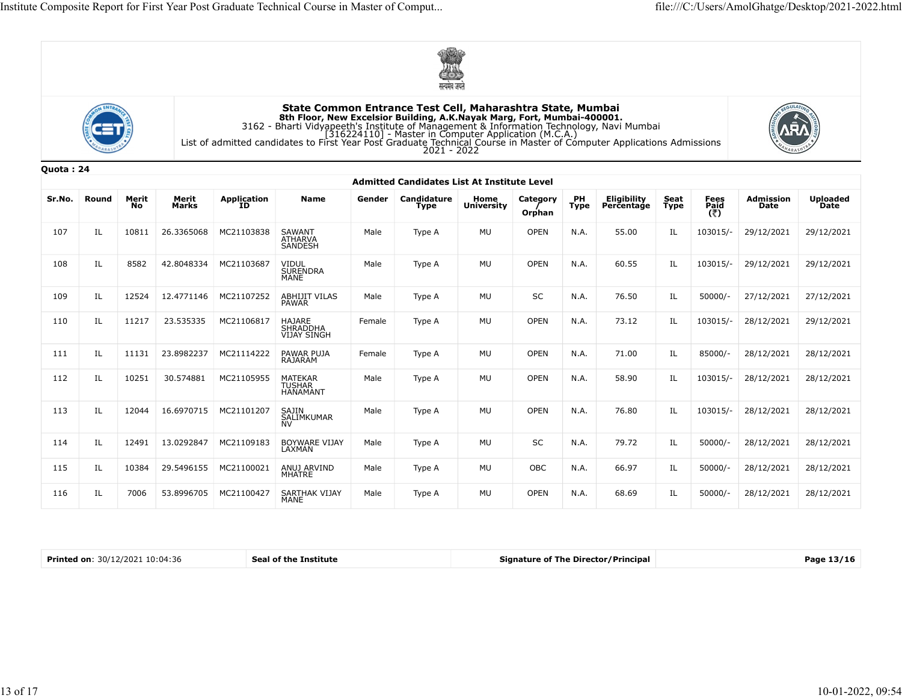





| Quota: 24 |  |  |
|-----------|--|--|
|           |  |  |

|           |       |             |                  |                       |                                                                                                                                                                                                                                                                                                               |        | सत्यमंव जयते                                       |                    |                    |                   |                           |              |                     |                   |                         |
|-----------|-------|-------------|------------------|-----------------------|---------------------------------------------------------------------------------------------------------------------------------------------------------------------------------------------------------------------------------------------------------------------------------------------------------------|--------|----------------------------------------------------|--------------------|--------------------|-------------------|---------------------------|--------------|---------------------|-------------------|-------------------------|
|           |       |             |                  |                       | State Common Entrance Test Cell, Maharashtra State, Mumbai<br><b>Excelsior Building, A.K.Nayak Marg, Fort, Mumbai-400001.</b><br>3162 - Bharti Vidyapeeth's Institute of Management & Information Technology, Navi Mumbai<br>[316224110] - Master in Computer Application (M.C.A.)<br>2021 - 2022<br>2021 - 2 |        |                                                    |                    |                    |                   |                           |              |                     |                   |                         |
| Quota: 24 |       |             |                  |                       |                                                                                                                                                                                                                                                                                                               |        | <b>Admitted Candidates List At Institute Level</b> |                    |                    |                   |                           |              |                     |                   |                         |
| Sr.No.    | Round | Merit<br>No | Merit<br>Marks   | Application<br>ID     | Name                                                                                                                                                                                                                                                                                                          | Gender | Candidature<br>Type                                | Home<br>University | Category<br>Orphan | PH<br><b>Type</b> | Eligibility<br>Percentage | Seat<br>Type | Fees<br>Paid<br>(₹) | Admission<br>Date | <b>Uploaded</b><br>Date |
| 107       | IL    | 10811       | 26.3365068       | MC21103838            | SAWANT<br>ATHARVA<br>SANDESH                                                                                                                                                                                                                                                                                  | Male   | Type A                                             | MU                 | <b>OPEN</b>        | N.A.              | 55.00                     | IL           | 103015/-            | 29/12/2021        | 29/12/2021              |
| 108       | IL    | 8582        | 42.8048334       | MC21103687            | VIDUL<br>SURENDRA<br>MANE                                                                                                                                                                                                                                                                                     | Male   | Type A                                             | MU                 | <b>OPEN</b>        | N.A.              | 60.55                     | IL           | 103015/-            | 29/12/2021        | 29/12/2021              |
| 109       | IL    | 12524       | 12.4771146       | MC21107252            | ABHIJIT VILAS<br>PAWAR                                                                                                                                                                                                                                                                                        | Male   | Type A                                             | MU                 | SC                 | N.A.              | 76.50                     | IL           | $50000/-$           | 27/12/2021        | 27/12/2021              |
| 110       | IL    | 11217       | 23.535335        | MC21106817            | HAJARE<br>SHRADDHA<br>VIJAY SINGH                                                                                                                                                                                                                                                                             | Female | Type A                                             | MU                 | <b>OPEN</b>        | N.A.              | 73.12                     | IL           | 103015/-            | 28/12/2021        | 29/12/2021              |
| 111       | IL    | 11131       | 23.8982237       | MC21114222            | PAWAR PUJA<br>RAJARAM                                                                                                                                                                                                                                                                                         | Female | Type A                                             | MU                 | <b>OPEN</b>        | N.A.              | 71.00                     | IL           | 85000/-             | 28/12/2021        | 28/12/2021              |
| 112       | IL    | 10251       | 30.574881        | MC21105955            | MATEKAR<br>TUSHAR<br>HANAMANT                                                                                                                                                                                                                                                                                 | Male   | Type A                                             | MU                 | <b>OPEN</b>        | N.A.              | 58.90                     | IL           | 103015/-            | 28/12/2021        | 28/12/2021              |
| 113       | IL    | 12044       |                  | 16.6970715 MC21101207 | SAJIN<br>SALIMKUMAR<br>NV                                                                                                                                                                                                                                                                                     | Male   | Type A                                             | MU                 | OPEN               | N.A.              | 76.80                     | IL           | 103015/-            | 28/12/2021        | 28/12/2021              |
| 114       | IL    |             | 12491 13.0292847 | MC21109183            | BOYWARE VIJAY<br>LAXMAN                                                                                                                                                                                                                                                                                       | Male   | Type A                                             | MU                 | $\sf SC$           | N.A.              | 79.72                     | IL           | 50000/-             | 28/12/2021        | 28/12/2021              |
| 115       | IL    | 10384       | 29.5496155       | MC21100021            | ANUJ ARVIND<br>MHATRE                                                                                                                                                                                                                                                                                         | Male   | Type A                                             | MU                 | OBC                | N.A.              | 66.97                     | IL           | 50000/-             | 28/12/2021        | 28/12/2021              |
| 116       | IL    | 7006        | 53.8996705       | MC21100427            | SARTHAK VIJAY<br>MANE                                                                                                                                                                                                                                                                                         | Male   | Type A                                             | MU                 | OPEN               | N.A.              | 68.69                     | IL           | 50000/-             | 28/12/2021        | 28/12/2021              |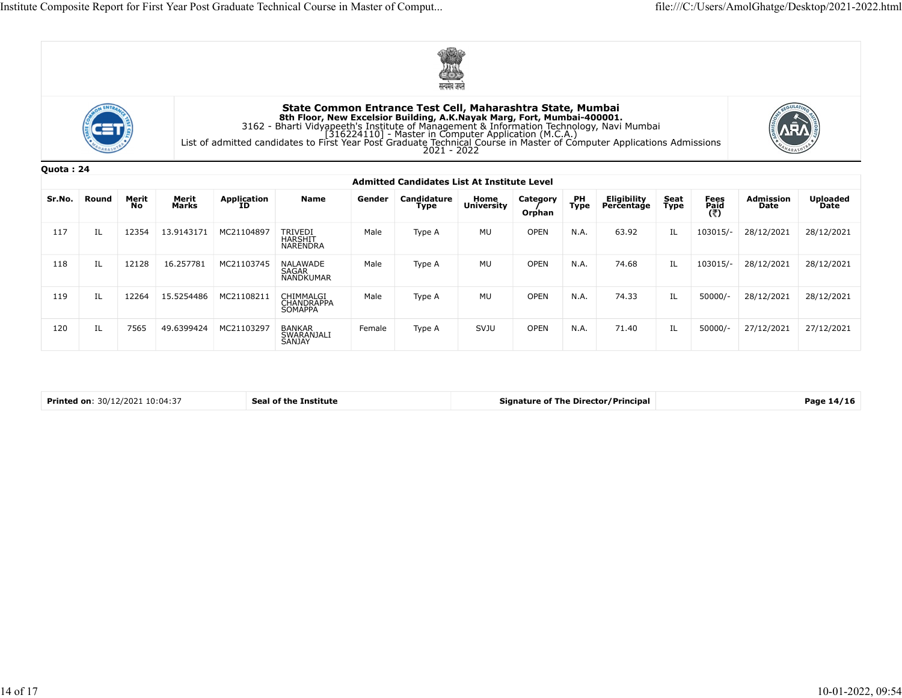





| Quota: 24 |  |
|-----------|--|
|-----------|--|

|           |                            |             |                |                   | Composite Report for First Year Post Graduate Technical Course in Master of Comput                                                                                                                                                                                                                                  |        |                                                            |                    |                    |                   |                                            |              |                     | file:///C:/Users/AmolGhatge/Desktop/2021-2022.html |                          |
|-----------|----------------------------|-------------|----------------|-------------------|---------------------------------------------------------------------------------------------------------------------------------------------------------------------------------------------------------------------------------------------------------------------------------------------------------------------|--------|------------------------------------------------------------|--------------------|--------------------|-------------------|--------------------------------------------|--------------|---------------------|----------------------------------------------------|--------------------------|
|           |                            |             |                |                   |                                                                                                                                                                                                                                                                                                                     |        |                                                            |                    |                    |                   |                                            |              |                     |                                                    |                          |
|           |                            |             |                |                   | 8th Floor, New Excelsior Building, A.K.Nayak Marg, Fort, Mumbai-400001.<br>3162 - Bharti Vidyapeeth's Institute of Management & Information Technology, Navi Mumbai<br>[316224110] - Master in Computer Application (M.C.A.)<br>[316224110] - Master in Computer Application (M.C.A.)<br>2021 - 2022<br>2021 - 2022 |        | State Common Entrance Test Cell, Maharashtra State, Mumbai |                    |                    |                   |                                            |              |                     |                                                    |                          |
| Quota: 24 |                            |             |                |                   |                                                                                                                                                                                                                                                                                                                     |        | <b>Admitted Candidates List At Institute Level</b>         |                    |                    |                   |                                            |              |                     |                                                    |                          |
| Sr.No.    | Round                      | Merit<br>No | Merit<br>Marks | Application<br>ID | <b>Name</b>                                                                                                                                                                                                                                                                                                         | Gender | Candidature<br>Type                                        | Home<br>University | Category<br>Orphan | PH<br><b>Type</b> | Eligibility<br>Percentage                  | Seat<br>Type | Fees<br>Paid<br>(き) | <b>Admission</b><br>Date                           | <b>Uploaded<br/>Date</b> |
| 117       | $\mathop{\rm IL}\nolimits$ | 12354       | 13.9143171     | MC21104897        | TRIVEDI<br>HARSHIT<br>NARENDRA                                                                                                                                                                                                                                                                                      | Male   | Type A                                                     | MU                 | OPEN               | N.A.              | 63.92                                      | IL           | 103015/-            | 28/12/2021                                         | 28/12/2021               |
| 118       | IL                         | 12128       | 16.257781      | MC21103745        | NALAWADE<br>SAGAR<br>NANDKUMAR                                                                                                                                                                                                                                                                                      | Male   | Type A                                                     | MU                 | <b>OPEN</b>        | N.A.              | 74.68                                      | IL           | 103015/-            | 28/12/2021                                         | 28/12/2021               |
| 119       | IL                         | 12264       | 15.5254486     | MC21108211        | CHIMMALGI<br>CHANDRAPPA<br>SOMAPPA                                                                                                                                                                                                                                                                                  | Male   | Type A                                                     | MU                 | <b>OPEN</b>        | N.A.              | 74.33                                      | IL           | $50000/-$           | 28/12/2021                                         | 28/12/2021               |
| 120       | IL                         | 7565        | 49.6399424     | MC21103297        | BANKAR<br>SWARANJALI<br>SANJAY                                                                                                                                                                                                                                                                                      | Female | Type A                                                     | SVJU               | <b>OPEN</b>        | N.A.              | 71.40                                      | IL           | $50000/-$           | 27/12/2021                                         | 27/12/2021               |
|           |                            |             |                |                   |                                                                                                                                                                                                                                                                                                                     |        |                                                            |                    |                    |                   |                                            |              |                     |                                                    |                          |
|           |                            |             |                |                   | Seal of the Institute                                                                                                                                                                                                                                                                                               |        |                                                            |                    |                    |                   | <b>Signature of The Director/Principal</b> |              |                     |                                                    | Page 14/16               |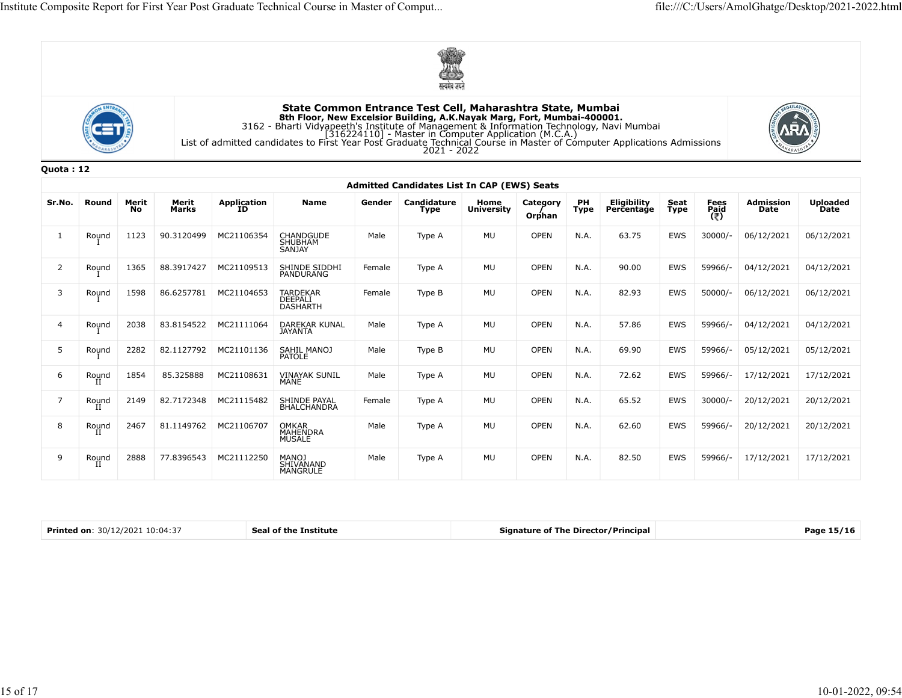





|           |            |             |                |                       |                                                                                                                                                                                                                                                                                                                                                                               |        | सत्यमंव जयतं                                                              |                    |                       |            |                           |              |              |                   |                         |
|-----------|------------|-------------|----------------|-----------------------|-------------------------------------------------------------------------------------------------------------------------------------------------------------------------------------------------------------------------------------------------------------------------------------------------------------------------------------------------------------------------------|--------|---------------------------------------------------------------------------|--------------------|-----------------------|------------|---------------------------|--------------|--------------|-------------------|-------------------------|
|           |            |             |                |                       | State Common Entrance Test Cell, Maharashtra State, Mumbai<br>8th Floor, New Excelsior Building, A.K.Nayak Marg, Fort, Mumbai-400001.<br>3162 - Bharti Vidyapeeth's Institute of Management & Information Technology, Navi Mumbai<br>[316224110] - Master in Computer Application (M.C.A.)<br>List of admitted candidates to First Year Post Graduate Technical Course in Mas |        | 2021 - 2022                                                               |                    |                       |            |                           |              |              |                   |                         |
| Quota: 12 |            |             |                |                       |                                                                                                                                                                                                                                                                                                                                                                               |        |                                                                           |                    |                       |            |                           |              |              |                   |                         |
| Sr.No.    | Round      | Merit<br>No | Merit<br>Marks | Application<br>ID     | Name                                                                                                                                                                                                                                                                                                                                                                          | Gender | <b>Admitted Candidates List In CAP (EWS) Seats</b><br>Candidature<br>Type | Home<br>University | Category              | PH<br>Type | Eligibility<br>Percentage | Seat<br>Type | Fees<br>Paid | Admission<br>Date | <b>Uploaded</b><br>Date |
|           |            |             |                |                       |                                                                                                                                                                                                                                                                                                                                                                               |        |                                                                           |                    | Orphan<br><b>OPEN</b> |            |                           |              | (₹)          |                   |                         |
|           | Round      | 1123        | 90.3120499     | MC21106354            | CHANDGUDE<br>SHUBHAM<br>SANJAY                                                                                                                                                                                                                                                                                                                                                | Male   | Type A                                                                    | MU                 |                       | N.A.       | 63.75                     | EWS          | 30000/-      | 06/12/2021        | 06/12/2021              |
| -2        | Round      | 1365        | 88.3917427     | MC21109513            | SHINDE SIDDHI<br>PANDURANG                                                                                                                                                                                                                                                                                                                                                    | Female | Type A                                                                    | MU                 | OPEN                  | N.A.       | 90.00                     | EWS          | 59966/-      | 04/12/2021        | 04/12/2021              |
| 3         | Round      | 1598        | 86.6257781     | MC21104653            | TARDEKAR<br>DEEPALI<br><b>DASHARTH</b>                                                                                                                                                                                                                                                                                                                                        | Female | Type B                                                                    | MU                 | OPEN                  | N.A.       | 82.93                     | EWS          | $50000/-$    | 06/12/2021        | 06/12/2021              |
|           | Round      | 2038        | 83.8154522     | MC21111064            | DAREKAR KUNAL<br>JAYANTA                                                                                                                                                                                                                                                                                                                                                      | Male   | Type A                                                                    | MU                 | <b>OPEN</b>           | N.A.       | 57.86                     | EWS          | 59966/-      | 04/12/2021        | 04/12/2021              |
| -5        | Round      | 2282        | 82.1127792     | MC21101136            | SAHIL MANOJ<br>PATOLE                                                                                                                                                                                                                                                                                                                                                         | Male   | Type B                                                                    | MU                 | <b>OPEN</b>           | N.A.       | 69.90                     | EWS          | 59966/-      | 05/12/2021        | 05/12/2021              |
| -6        | Round      | 1854        | 85.325888      | MC21108631            | <b>VINAYAK SUNIL</b><br>MANE                                                                                                                                                                                                                                                                                                                                                  | Male   | Type A                                                                    | MU                 | <b>OPEN</b>           | N.A.       | 72.62                     | EWS          | 59966/-      | 17/12/2021        | 17/12/2021              |
| 7         | Round<br>  | 2149        |                | 82.7172348 MC21115482 | SHINDE PAYAL<br>BHALCHANDRA                                                                                                                                                                                                                                                                                                                                                   | Female | Type A                                                                    | MU                 | <b>OPEN</b>           | N.A.       | 65.52                     | EWS          | 30000/-      | 20/12/2021        | 20/12/2021              |
| 8         | Round      | 2467        |                | 81.1149762 MC21106707 | OMKAR<br>MAHENDRA<br>MUSALE                                                                                                                                                                                                                                                                                                                                                   | Male   | Type A                                                                    | MU                 | OPEN                  | N.A.       | 62.60                     | EWS          | 59966/-      | 20/12/2021        | 20/12/2021              |
| 9         | Round<br>п | 2888        | 77.8396543     | MC21112250            | MANOJ<br>SHIVANAND<br>MANGRULE                                                                                                                                                                                                                                                                                                                                                | Male   | Type A                                                                    | MU                 | OPEN                  | N.A.       | 82.50                     | EWS          | 59966/-      | 17/12/2021        | 17/12/2021              |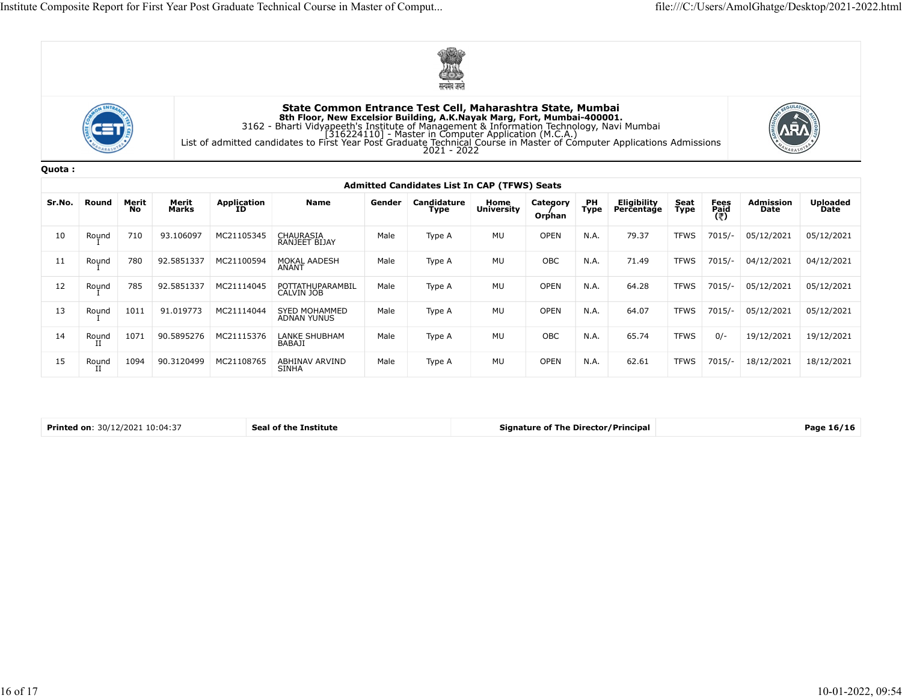





|        |       |             |                |                   |                                                                                                                                                                                                                                                                                                           |        | पत्यमव जयत                                   |                           |                    |               |                           |              |                     |                   |                         |
|--------|-------|-------------|----------------|-------------------|-----------------------------------------------------------------------------------------------------------------------------------------------------------------------------------------------------------------------------------------------------------------------------------------------------------|--------|----------------------------------------------|---------------------------|--------------------|---------------|---------------------------|--------------|---------------------|-------------------|-------------------------|
|        |       |             |                |                   | State Common Entrance Test Cell, Maharashtra State, Mumbai<br><b>Sth Floor, New Excelsior Building, A.K.Nayak Marg, Fort, Mumbai-400001.</b><br>3162 - Bharti Vidyapeeth's Institute of Management & Information Technology, Navi Mumbai<br>[316224110] - Master in Computer Application (M.C.A.)<br>List |        |                                              |                           |                    |               |                           |              |                     |                   |                         |
| Quota: |       |             |                |                   |                                                                                                                                                                                                                                                                                                           |        |                                              |                           |                    |               |                           |              |                     |                   |                         |
|        |       |             |                |                   |                                                                                                                                                                                                                                                                                                           |        | Admitted Candidates List In CAP (TFWS) Seats |                           |                    |               |                           |              |                     |                   |                         |
| Sr.No. | Round | Merit<br>No | Merit<br>Marks | Application<br>ID | <b>Name</b>                                                                                                                                                                                                                                                                                               | Gender | Candidature<br>Type                          | Home<br><b>University</b> | Category<br>Orphan | $P$ H<br>Type | Eligibility<br>Perčentaģe | Seat<br>Type | Fees<br>Paid<br>(そ) | Admission<br>Date | <b>Uploaded</b><br>Date |
| 10     | Round | 710         | 93.106097      | MC21105345        | CHAURASIA<br>RANJEET BIJAY                                                                                                                                                                                                                                                                                | Male   | Type A                                       | MU                        | <b>OPEN</b>        | N.A.          | 79.37                     | <b>TFWS</b>  | $7015/-$            | 05/12/2021        | 05/12/2021              |
| 11     | Round | 780         | 92.5851337     | MC21100594        | MOKAL AADESH<br>ANANT                                                                                                                                                                                                                                                                                     | Male   | Type A                                       | MU                        | OBC                | N.A.          | 71.49                     | TFWS         | 7015/-              | 04/12/2021        | 04/12/2021              |
| 12     | Round | 785         | 92.5851337     | MC21114045        | POTTATHUPARAMBIL<br>CALVIN JOB                                                                                                                                                                                                                                                                            | Male   | Type A                                       | MU                        | OPEN               | N.A.          | 64.28                     | <b>TFWS</b>  | 7015/-              | 05/12/2021        | 05/12/2021              |
| 13     | Round | 1011        | 91.019773      | MC21114044        | SYED MOHAMMED<br>ADNAN YUNUS                                                                                                                                                                                                                                                                              | Male   | Type A                                       | MU                        | <b>OPEN</b>        | N.A.          | 64.07                     | <b>TFWS</b>  | 7015/-              | 05/12/2021        | 05/12/2021              |
| 14     | Round | 1071        | 90.5895276     | MC21115376        | LANKE SHUBHAM<br><b>BABAJI</b>                                                                                                                                                                                                                                                                            | Male   | Type A                                       | MU                        | OBC                | N.A.          | 65.74                     | <b>TFWS</b>  | $0/-$               | 19/12/2021        | 19/12/2021              |
|        |       |             | 90.3120499     | MC21108765        | ABHINAV ARVIND                                                                                                                                                                                                                                                                                            | Male   | Type A                                       | MU                        | OPEN               | N.A.          | 62.61                     | <b>TFWS</b>  | 7015/-              | 18/12/2021        | 18/12/2021              |